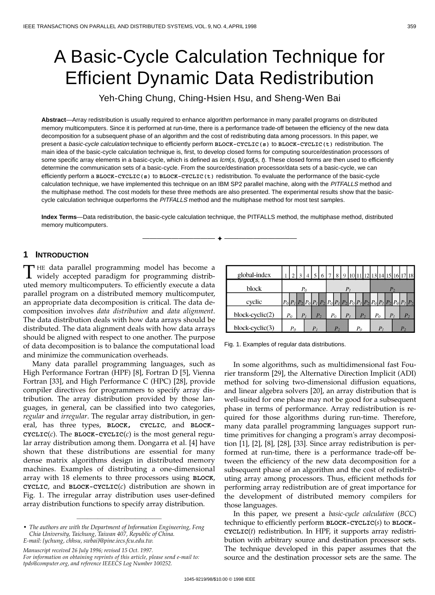# A Basic-Cycle Calculation Technique for Efficient Dynamic Data Redistribution

Yeh-Ching Chung, Ching-Hsien Hsu, and Sheng-Wen Bai

**Abstract**—Array redistribution is usually required to enhance algorithm performance in many parallel programs on distributed memory multicomputers. Since it is performed at run-time, there is a performance trade-off between the efficiency of the new data decomposition for a subsequent phase of an algorithm and the cost of redistributing data among processors. In this paper, we present a basic-cycle calculation technique to efficiently perform BLOCK-CYCLIC(s) to BLOCK-CYCLIC(t) redistribution. The main idea of the basic-cycle calculation technique is, first, to develop closed forms for computing source/destination processors of some specific array elements in a basic-cycle, which is defined as  $lcm(s, t)/gcd(s, t)$ . These closed forms are then used to efficiently determine the communication sets of a basic-cycle. From the source/destination processor/data sets of a basic-cycle, we can efficiently perform a BLOCK-CYCLIC(s) to BLOCK-CYCLIC(t) redistribution. To evaluate the performance of the basic-cycle calculation technique, we have implemented this technique on an IBM SP2 parallel machine, along with the PITFALLS method and the multiphase method. The cost models for these three methods are also presented. The experimental results show that the basiccycle calculation technique outperforms the PITFALLS method and the multiphase method for most test samples.

**Index Terms**—Data redistribution, the basic-cycle calculation technique, the PITFALLS method, the multiphase method, distributed memory multicomputers.

—————————— ✦ ——————————

# **1 INTRODUCTION**

 $\neg$  HE data parallel programming model has become a widely accepted paradigm for programming distrib-THE data parallel programming model has become a<br>widely accepted paradigm for programming distrib-<br>uted memory multicomputers. To efficiently execute a data parallel program on a distributed memory multicomputer, an appropriate data decomposition is critical. The data decomposition involves *data distribution* and *data alignment*. The data distribution deals with how data arrays should be distributed. The data alignment deals with how data arrays should be aligned with respect to one another. The purpose of data decomposition is to balance the computational load and minimize the communication overheads.

Many data parallel programming languages, such as High Performance Fortran (HPF) [8], Fortran D [5], Vienna Fortran [33], and High Performance C (HPC) [28], provide compiler directives for programmers to specify array distribution. The array distribution provided by those languages, in general, can be classified into two categories, *regular* and *irregular*. The regular array distribution, in general, has three types, BLOCK, CYCLIC, and BLOCK-CYCLIC( $c$ ). The BLOCK-CYCLIC( $c$ ) is the most general regular array distribution among them. Dongarra et al. [4] have shown that these distributions are essential for many dense matrix algorithms design in distributed memory machines. Examples of distributing a one-dimensional array with 18 elements to three processors using BLOCK, CYCLIC, and  $BLOCK-CYCLIC(c)$  distribution are shown in Fig. 1. The irregular array distribution uses user-defined array distribution functions to specify array distribution.

————————————————

*E-mail: {ychung, chhsu, swbai}@pine.iecs.fcu.edu.tw.*

*Manuscript received 26 July 1996; revised 15 Oct. 1997. For information on obtaining reprints of this article, please send e-mail to: tpds@computer.org, and reference IEEECS Log Number 100252.*

| global-index     |                |                  |                |         |                |                 |    |                |                |  |    | $\vert 5 \vert 6 \vert 7 \vert 8 \vert 9 \vert 10 \vert 11 \vert 12 \vert 13 \vert 14 \vert 15 \vert 16 \vert 17 \vert 18$                                                                                                                                                                                                                                                                                                          |
|------------------|----------------|------------------|----------------|---------|----------------|-----------------|----|----------------|----------------|--|----|-------------------------------------------------------------------------------------------------------------------------------------------------------------------------------------------------------------------------------------------------------------------------------------------------------------------------------------------------------------------------------------------------------------------------------------|
| block            |                | $P_{O}$          |                |         |                |                 |    |                |                |  |    |                                                                                                                                                                                                                                                                                                                                                                                                                                     |
| cyclic           |                |                  |                |         |                |                 |    |                |                |  |    | $\frac{1}{P_0 \left  P_1 \right  P_2 \left  P_0 \right  P_1 \left  P_2 \right  P_0 \left  P_1 \right  P_2 \left  P_0 \right  P_1 \left  P_2 \right  P_0 \left  P_1 \right  P_2}{P_0 \left  P_1 \right  P_2 \left  P_2 \right  P_1 \left  P_2 \right  P_2 \left  P_1 \right  P_2 \left  P_2 \right  P_1 \left  P_2 \right  P_2 \left  P_1 \right  P_2 \left  P_2 \right  P_1 \left  P_2 \right  P_2 \left  P_2 \right  P_1 \left  P$ |
| $block-cycle(2)$ | P <sub>0</sub> | $\overline{P}_I$ |                | $P_{2}$ | P <sub>O</sub> | $\mathcal{P}_I$ |    | P <sub>2</sub> | P <sub>O</sub> |  |    | $P_{2}$                                                                                                                                                                                                                                                                                                                                                                                                                             |
| $block-cycle(3)$ | $P_{O}$        |                  | P <sub>1</sub> |         | $P_{2}$        |                 | Po |                | P <sub>1</sub> |  | р, |                                                                                                                                                                                                                                                                                                                                                                                                                                     |

Fig. 1. Examples of regular data distributions.

In some algorithms, such as multidimensional fast Fourier transform [29], the Alternative Direction Implicit (ADI) method for solving two-dimensional diffusion equations, and linear algebra solvers [20], an array distribution that is well-suited for one phase may not be good for a subsequent phase in terms of performance. Array redistribution is required for those algorithms during run-time. Therefore, many data parallel programming languages support runtime primitives for changing a program's array decomposition [1], [2], [8], [28], [33]. Since array redistribution is performed at run-time, there is a performance trade-off between the efficiency of the new data decomposition for a subsequent phase of an algorithm and the cost of redistributing array among processors. Thus, efficient methods for performing array redistribution are of great importance for the development of distributed memory compilers for those languages.

In this paper, we present a *basic-cycle calculation* (*BCC*) technique to efficiently perform BLOCK-CYCLIC(*s*) to BLOCK-CYCLIC(*t*) redistribution. In HPF, it supports array redistribution with arbitrary source and destination processor sets. The technique developed in this paper assumes that the source and the destination processor sets are the same. The

<sup>•</sup> *The authors are with the Department of Information Engineering, Feng Chia University, Taichung, Taiwan 407, Republic of China.*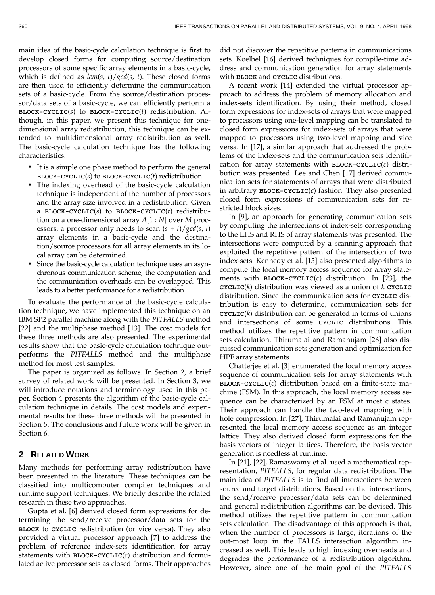main idea of the basic-cycle calculation technique is first to develop closed forms for computing source/destination processors of some specific array elements in a basic-cycle, which is defined as *lcm*(*s*, *t*)/*gcd*(*s*, *t*). These closed forms are then used to efficiently determine the communication sets of a basic-cycle. From the source/destination processor/data sets of a basic-cycle, we can efficiently perform a BLOCK-CYCLIC(*s*) to BLOCK-CYCLIC(*t*) redistribution. Although, in this paper, we present this technique for onedimensional array redistribution, this technique can be extended to multidimensional array redistribution as well. The basic-cycle calculation technique has the following characteristics:

- It is a simple one phase method to perform the general BLOCK-CYCLIC(*s*) to BLOCK-CYCLIC(*t*) redistribution.
- The indexing overhead of the basic-cycle calculation technique is independent of the number of processors and the array size involved in a redistribution. Given a BLOCK-CYCLIC(*s*) to BLOCK-CYCLIC(*t*) redistribution on a one-dimensional array *A*[1 : *N*] over *M* processors, a processor only needs to scan  $(s + t)/\text{gcd}(s, t)$ array elements in a basic-cycle and the destination/source processors for all array elements in its local array can be determined.
- Since the basic-cycle calculation technique uses an asynchronous communication scheme, the computation and the communication overheads can be overlapped. This leads to a better performance for a redistribution.

To evaluate the performance of the basic-cycle calculation technique, we have implemented this technique on an IBM SP2 parallel machine along with the *PITFALLS* method [22] and the multiphase method [13]. The cost models for these three methods are also presented. The experimental results show that the basic-cycle calculation technique outperforms the *PITFALLS* method and the multiphase method for most test samples.

The paper is organized as follows. In Section 2, a brief survey of related work will be presented. In Section 3, we will introduce notations and terminology used in this paper. Section 4 presents the algorithm of the basic-cycle calculation technique in details. The cost models and experimental results for these three methods will be presented in Section 5. The conclusions and future work will be given in Section 6.

## **2 RELATED WORK**

Many methods for performing array redistribution have been presented in the literature. These techniques can be classified into multicomputer compiler techniques and runtime support techniques. We briefly describe the related research in these two approaches.

Gupta et al. [6] derived closed form expressions for determining the send/receive processor/data sets for the BLOCK to CYCLIC redistribution (or vice versa). They also provided a virtual processor approach [7] to address the problem of reference index-sets identification for array statements with BLOCK-CYCLIC(*c*) distribution and formulated active processor sets as closed forms. Their approaches

did not discover the repetitive patterns in communications sets. Koelbel [16] derived techniques for compile-time address and communication generation for array statements with BLOCK and CYCLIC distributions.

A recent work [14] extended the virtual processor approach to address the problem of memory allocation and index-sets identification. By using their method, closed form expressions for index-sets of arrays that were mapped to processors using one-level mapping can be translated to closed form expressions for index-sets of arrays that were mapped to processors using two-level mapping and vice versa. In [17], a similar approach that addressed the problems of the index-sets and the communication sets identification for array statements with BLOCK-CYCLIC(*c*) distribution was presented. Lee and Chen [17] derived communication sets for statements of arrays that were distributed in arbitrary  $\texttt{BLOCK-CYCLIC}(c)$  fashion. They also presented closed form expressions of communication sets for restricted block sizes.

In [9], an approach for generating communication sets by computing the intersections of index-sets corresponding to the LHS and RHS of array statements was presented. The intersections were computed by a scanning approach that exploited the repetitive pattern of the intersection of two index-sets. Kennedy et al. [15] also presented algorithms to compute the local memory access sequence for array statements with BLOCK-CYCLIC(*c*) distribution. In [23], the CYCLIC(*k*) distribution was viewed as a union of *k* CYCLIC distribution. Since the communication sets for CYCLIC distribution is easy to determine, communication sets for CYCLIC(*k*) distribution can be generated in terms of unions and intersections of some CYCLIC distributions. This method utilizes the repetitive pattern in communication sets calculation. Thirumalai and Ramanujam [26] also discussed communication sets generation and optimization for HPF array statements.

Chatterjee et al. [3] enumerated the local memory access sequence of communication sets for array statements with BLOCK-CYCLIC(*c*) distribution based on a finite-state machine (FSM). In this approach, the local memory access sequence can be characterized by an FSM at most c states. Their approach can handle the two-level mapping with hole compression. In [27], Thirumalai and Ramanujam represented the local memory access sequence as an integer lattice. They also derived closed form expressions for the basis vectors of integer lattices. Therefore, the basis vector generation is needless at runtime.

In [21], [22], Ramaswamy et al. used a mathematical representation, *PITFALLS*, for regular data redistribution. The main idea of *PITFALLS* is to find all intersections between source and target distributions. Based on the intersections, the send/receive processor/data sets can be determined and general redistribution algorithms can be devised. This method utilizes the repetitive pattern in communication sets calculation. The disadvantage of this approach is that, when the number of processors is large, iterations of the out-most loop in the FALLS intersection algorithm increased as well. This leads to high indexing overheads and degrades the performance of a redistribution algorithm. However, since one of the main goal of the *PITFALLS*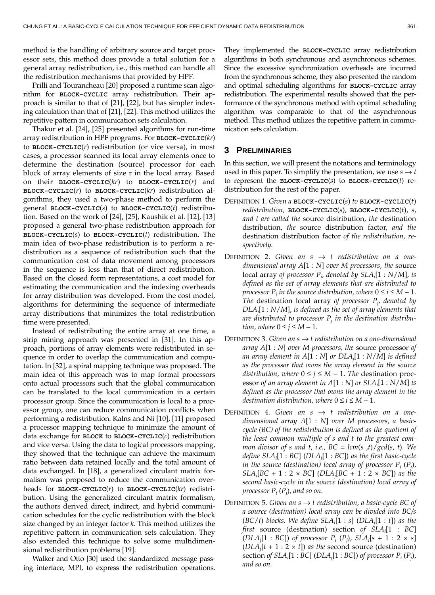method is the handling of arbitrary source and target processor sets, this method does provide a total solution for a general array redistribution, i.e., this method can handle all the redistribution mechanisms that provided by HPF.

Prilli and Tourancheau [20] proposed a runtime scan algorithm for BLOCK-CYCLIC array redistribution. Their approach is similar to that of [21], [22], but has simpler indexing calculation than that of [21], [22]. This method utilizes the repetitive pattern in communication sets calculation.

Thakur et al. [24], [25] presented algorithms for run-time array redistribution in HPF programs. For BLOCK-CYCLIC*(kr*) to BLOCK-CYCLIC(*r*) redistribution (or vice versa), in most cases, a processor scanned its local array elements once to determine the destination (source) processor for each block of array elements of size r in the local array. Based on their BLOCK-CYCLIC(*kr*) to BLOCK-CYCLIC(*r*) and BLOCK-CYCLIC(*r*) to BLOCK-CYCLIC(*kr*) redistribution algorithms, they used a two-phase method to perform the general BLOCK-CYCLIC(*s*) to BLOCK-CYCLIC(*t*) redistribution. Based on the work of [24], [25], Kaushik et al. [12], [13] proposed a general two-phase redistribution approach for BLOCK-CYCLIC(*s*) to BLOCK-CYCLIC(*t*) redistribution. The main idea of two-phase redistribution is to perform a redistribution as a sequence of redistribution such that the communication cost of data movement among processors in the sequence is less than that of direct redistribution. Based on the closed form representations, a cost model for estimating the communication and the indexing overheads for array distribution was developed. From the cost model, algorithms for determining the sequence of intermediate array distributions that minimizes the total redistribution time were presented.

Instead of redistributing the entire array at one time, a strip mining approach was presented in [31]. In this approach, portions of array elements were redistributed in sequence in order to overlap the communication and computation. In [32], a spiral mapping technique was proposed. The main idea of this approach was to map formal processors onto actual processors such that the global communication can be translated to the local communication in a certain processor group. Since the communication is local to a processor group, one can reduce communication conflicts when performing a redistribution. Kalns and Ni [10], [11] proposed a processor mapping technique to minimize the amount of data exchange for BLOCK to BLOCK-CYCLIC(*c*) redistribution and vice versa. Using the data to logical processors mapping, they showed that the technique can achieve the maximum ratio between data retained locally and the total amount of data exchanged. In [18], a generalized circulant matrix formalism was proposed to reduce the communication overheads for BLOCK-CYCLIC(*r*) to BLOCK-CYCLIC(*kr*) redistribution. Using the generalized circulant matrix formalism, the authors derived direct, indirect, and hybrid communication schedules for the cyclic redistribution with the block size changed by an integer factor *k*. This method utilizes the repetitive pattern in communication sets calculation. They also extended this technique to solve some multidimensional redistribution problems [19].

Walker and Otto [30] used the standardized message passing interface, MPI, to express the redistribution operations.

They implemented the BLOCK-CYCLIC array redistribution algorithms in both synchronous and asynchronous schemes. Since the excessive synchronization overheads are incurred from the synchronous scheme, they also presented the random and optimal scheduling algorithms for BLOCK-CYCLIC array redistribution. The experimental results showed that the performance of the synchronous method with optimal scheduling algorithm was comparable to that of the asynchronous method. This method utilizes the repetitive pattern in communication sets calculation.

# **3 PRELIMINARIES**

In this section, we will present the notations and terminology used in this paper. To simplify the presentation, we use  $s \rightarrow t$ to represent the BLOCK-CYCLIC(*s*) to BLOCK-CYCLIC(*t*) redistribution for the rest of the paper.

- DEFINITION 1. *Given a* BLOCK-CYCLIC(*s*) *to* BLOCK-CYCLIC(*t*) *redistribution,* BLOCK-CYCLIC(*s*), BLOCK-CYCLIC(*t*), *s*, *and t are called the* source distribution, *the* destination distribution, *the* source distribution factor, *and the* destination distribution factor *of the redistribution, respectively.*
- DEFINITION 2. Given an  $s \rightarrow t$  redistribution on a one*dimensional array A*[1 : *N*] *over M processors, the* source local array *of processor*  $P_{i\prime}$  *denoted by SLA<sub>i</sub>[1 : N/M], is defined as the set of array elements that are distributed to processor*  $P_i$  *in the source distribution, where*  $0 \le i \le M - 1$ . *The* destination local array *of processor Pj , denoted by DLAj* [1 : *N*/*M*], *is defined as the set of array elements that are distributed to processor Pj in the destination distribution, where*  $0 \le j \le M - 1$ .
- DEFINITION 3. Given an  $s \rightarrow t$  redistribution on a one-dimensional *array A*[1 : *N*] *over M processors, the* source processor *of an array element in A*[1 : *N*] *or DLAj* [1 : *N*/*M*] *is defined as the processor that owns the array element in the source distribution, where*  $0 \leq j \leq M - 1$ . *The destination proc*essor *of an array element in A*[1 : *N*] *or SLAi* [1 : *N*/*M*] *is defined as the processor that owns the array element in the destination distribution, where*  $0 \le i \le M - 1$ .
- DEFINITION 4. Given an  $s \rightarrow t$  redistribution on a one*dimensional array A*[1 : *N*] *over M processors, a basiccycle (BC) of the redistribution is defined as the quotient of the least common multiple of s and t to the greatest common divisor of s and t, i.e.,*  $BC = lcm(s, t)/gcd(s, t)$ *. We define SLAi* [1 : *BC*] (*DLAj* [1 : *BC*]) *as the first basic-cycle in the source (destination) local array of processor Pi* (*Pj* ), *SLAi* [*BC* + 1 : 2 × *BC*] (*DLAj* [*BC* + 1 : 2 × *BC*]) *as the second basic-cycle in the source (destination) local array of processor Pi* (*Pj* ), *and so on.*
- DEFINITION 5. Given an  $s \to t$  redistribution, a basic-cycle BC of *a source (destination) local array can be divided into BC/s* (*BC*/*t*) *blocks. We define SLAi* [1 : *s*] (*DLAj* [1 : *t*]) *as the first* source (destination) section *of SLAi* [1 : *BC*]  $(DLA<sub>j</sub>[1 : BC])$  of processor  $P<sub>i</sub>(P<sub>j</sub>)$ ,  $SLA<sub>i</sub>[s + 1 : 2 \times s]$ ( $DLA_j[t + 1 : 2 \times t]$ ) *as the* second source (destination) section *of SLAi* [1 : *BC*] (*DLAj* [1 : *BC*]) *of processor Pi* (*Pj* ), *and so on.*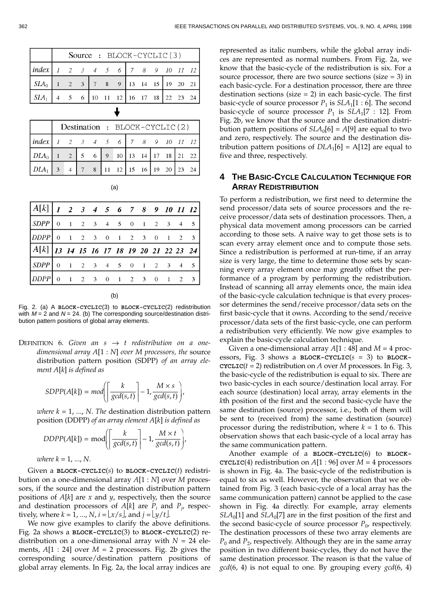|                                                                            |                                  |  |  |  | Source: BLOCK-CYCLIC(3) |  |
|----------------------------------------------------------------------------|----------------------------------|--|--|--|-------------------------|--|
| $index \begin{bmatrix} 1 & 2 & 3 & 4 & 5 & 6 \end{bmatrix}$ 7 8 9 10 11 12 |                                  |  |  |  |                         |  |
| $SLA_0$                                                                    | 2 3 7 8 9 13 14 15 19 20 21      |  |  |  |                         |  |
| $SLA_1$                                                                    | 4 5 6 10 11 12 16 17 18 22 23 24 |  |  |  |                         |  |
|                                                                            |                                  |  |  |  |                         |  |

|                                                                                   |  |  | Destination : BLOCK-CYCLIC(2)                                                     |  |  |  |
|-----------------------------------------------------------------------------------|--|--|-----------------------------------------------------------------------------------|--|--|--|
| $\int$ index $\begin{bmatrix} 1 & 2 & 3 & 4 & 5 & 6 \end{bmatrix}$ 7 8 9 10 11 12 |  |  |                                                                                   |  |  |  |
| $DLA_0$ 1 2 5 6 9 10 13 14 17 18 21 22                                            |  |  |                                                                                   |  |  |  |
| $DLA_1$                                                                           |  |  | $4 \mid 7 \mid 8 \mid 11 \mid 12 \mid 15 \mid 16 \mid 19 \mid 20 \mid 23 \mid 24$ |  |  |  |

(a)

| A[k]   1 2 3 4 5 6 7 8 9 10 11 12        |  |  |     |  |  |                           |  |
|------------------------------------------|--|--|-----|--|--|---------------------------|--|
| $SDPP$ 0 1 2 3 4 5 0 1 2 3 4 5           |  |  |     |  |  |                           |  |
| $DDPP$ 0 1 2 3 0 1 2 3 0 1 2 3           |  |  |     |  |  |                           |  |
| A[k] 13 14 15 16 17 18 19 20 21 22 23 24 |  |  |     |  |  |                           |  |
| SDPP                                     |  |  |     |  |  | $0$ 1 2 3 4 5 0 1 2 3 4 5 |  |
| <b>DDPP</b>                              |  |  |     |  |  | $0$ 1 2 3 0 1 2 3 0 1 2 3 |  |
|                                          |  |  | (b) |  |  |                           |  |

Fig. 2. (a) A BLOCK-CYCLIC(3) to BLOCK-CYCLIC(2) redistribution with  $M = 2$  and  $N = 24$ . (b) The corresponding source/destination distribution pattern positions of global array elements.

DEFINITION 6. Given an  $s \rightarrow t$  redistribution on a one*dimensional array A*[1 : *N*] *over M processors, the* source distribution pattern position (SDPP) *of an array element A*[*k*] *is defined as*

$$
SDPP(A[k]) = mod \left( \left\lceil \frac{k}{gcd(s,t)} \right\rceil - 1, \frac{M \times s}{gcd(s,t)} \right)
$$

*where k* = 1, ..., *N*. *The* destination distribution pattern position (DDPP) *of an array element A*[*k*] *is defined as*

$$
DDPP(A[k]) = mod \left( \left\lceil \frac{k}{gcd(s,t)} \right\rceil - 1, \frac{M \times t}{gcd(s,t)} \right)
$$

*where k* = 1, ..., *N*.

Given a BLOCK-CYCLIC(*s*) to BLOCK-CYCLIC(*t*) redistribution on a one-dimensional array *A*[1 : *N*] over *M* processors, if the source and the destination distribution pattern positions of *A*[*k*] are *x* and *y*, respectively, then the source and destination processors of  $A[k]$  are  $P_i$  and  $P_j$ , respectively, where  $k = 1, ..., N$ ,  $i = \lfloor x/s \rfloor$ , and  $j = \lfloor y/t \rfloor$ .

We now give examples to clarify the above definitions. Fig. 2a shows a BLOCK-CYCLIC(3) to BLOCK-CYCLIC(2) redistribution on a one-dimensional array with  $N = 24$  elements,  $A[1:24]$  over  $M = 2$  processors. Fig. 2b gives the corresponding source/destination pattern positions of global array elements. In Fig. 2a, the local array indices are

represented as italic numbers, while the global array indices are represented as normal numbers. From Fig. 2a, we know that the basic-cycle of the redistribution is six. For a source processor, there are two source sections (size  $= 3$ ) in each basic-cycle. For a destination processor, there are three destination sections (size  $= 2$ ) in each basic-cycle. The first basic-cycle of source processor  $P_1$  is  $SLA_1[1:6]$ . The second basic-cycle of source processor  $P_1$  is  $SLA_1[7 : 12]$ . From Fig. 2b, we know that the source and the destination distribution pattern positions of  $SLA_0[6] = A[9]$  are equal to two and zero, respectively. The source and the destination distribution pattern positions of  $DLA_1[6] = A[12]$  are equal to five and three, respectively.

# **4 THE BASIC-CYCLE CALCULATION TECHNIQUE FOR ARRAY REDISTRIBUTION**

To perform a redistribution, we first need to determine the send processor/data sets of source processors and the receive processor/data sets of destination processors. Then, a physical data movement among processors can be carried according to those sets. A naive way to get those sets is to scan every array element once and to compute those sets. Since a redistribution is performed at run-time, if an array size is very large, the time to determine those sets by scanning every array element once may greatly offset the performance of a program by performing the redistribution. Instead of scanning all array elements once, the main idea of the basic-cycle calculation technique is that every processor determines the send/receive processor/data sets on the first basic-cycle that it owns. According to the send/receive processor/data sets of the first basic-cycle, one can perform a redistribution very efficiently. We now give examples to explain the basic-cycle calculation technique.

Given a one-dimensional array *A*[1 : 48] and *M* = 4 processors, Fig. 3 shows a BLOCK-CYCLIC( $s = 3$ ) to BLOCK-CYCLIC( $t = 2$ ) redistribution on *A* over *M* processors. In Fig. 3, the basic-cycle of the redistribution is equal to six. There are two basic-cycles in each source/destination local array. For each source (destination) local array, array elements in the *k*th position of the first and the second basic-cycle have the same destination (source) processor, i.e., both of them will be sent to (received from) the same destination (source) processor during the redistribution, where  $k = 1$  to 6. This observation shows that each basic-cycle of a local array has the same communication pattern.

Another example of a  $BLOCK-CYCLIC(6)$  to  $BLOCK-$ CYCLIC(4) redistribution on *A*[1 : 96] over *M* = 4 processors is shown in Fig. 4a. The basic-cycle of the redistribution is equal to six as well. However, the observation that we obtained from Fig. 3 (each basic-cycle of a local array has the same communication pattern) cannot be applied to the case shown in Fig. 4a directly. For example, array elements  $SLA_0[1]$  and  $SLA_0[7]$  are in the first position of the first and the second basic-cycle of source processor  $P_0$ , respectively. The destination processors of these two array elements are  $P_0$  and  $P_2$ , respectively. Although they are in the same array position in two different basic-cycles, they do not have the same destination processor. The reason is that the value of *gcd*(6, 4) is not equal to one. By grouping every *gcd*(6, 4)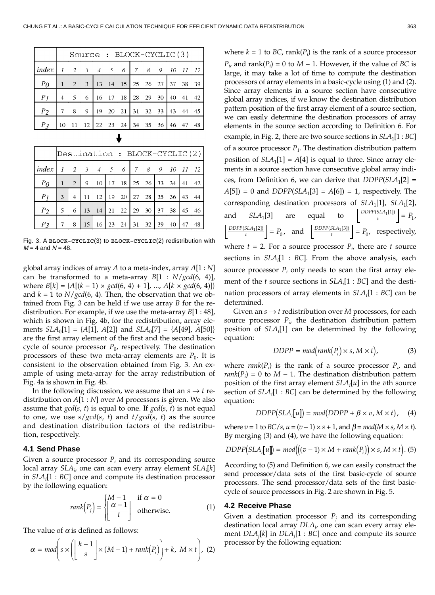|                                                                   |                |                 |  | Source: BLOCK-CYCLIC(3)                                                                              |          |  |          |  |
|-------------------------------------------------------------------|----------------|-----------------|--|------------------------------------------------------------------------------------------------------|----------|--|----------|--|
| $index \begin{bmatrix} 1 & 2 & 3 & 4 & 5 & 6 \end{bmatrix}$ 7 8 9 |                |                 |  |                                                                                                      |          |  | 10 11 12 |  |
| $P_{O}$                                                           |                |                 |  | $1 \quad 2 \quad 3 \quad 13 \quad 14 \quad 15 \quad 25 \quad 26 \quad 27 \quad 37 \quad 38 \quad 39$ |          |  |          |  |
| $P_I$                                                             | $\overline{4}$ |                 |  | 5 6 16 17 18 28 29 30                                                                                |          |  | 40 41 42 |  |
| P <sub>2</sub>                                                    |                |                 |  | 7 8 9 19 20 21 31 32 33 43 44 45                                                                     |          |  |          |  |
| $P_3$                                                             | 10             | $\overline{11}$ |  | $12 \mid 22 \mid 23 \mid 24 \mid$                                                                    | 34 35 36 |  | 46 47 48 |  |

|                |   |                |    |                 |       |       |              | Destination : BLOCK-CYCLIC(2)                                                                  |         |    |    |     |
|----------------|---|----------------|----|-----------------|-------|-------|--------------|------------------------------------------------------------------------------------------------|---------|----|----|-----|
| index          |   |                |    |                 |       |       |              | $1 \quad 2 \quad 3 \quad 4 \quad 5 \quad 6 \quad 7 \quad 8 \quad 9 \quad 10 \quad 11 \quad 12$ |         |    |    |     |
| $P_{O}$        |   | 2              |    | $9 \t10 \t17$   |       |       |              | 18   25   26   33   34                                                                         |         |    | 41 | 42  |
| P <sub>1</sub> | 3 | $\overline{4}$ | 11 |                 | 12 19 |       | $20 \mid 27$ |                                                                                                | 28 35   | 36 | 43 | -44 |
| P <sub>2</sub> | 5 | 6              | 13 | 14 <sup>1</sup> |       | 21 22 | 29           |                                                                                                | 30   37 | 38 | 45 | -46 |
| $P_3$          | 7 | 8              | 15 | 16              | 23    | 24    | 31           | 32                                                                                             | 39      | 40 | 47 | 48  |

Fig. 3. A BLOCK-CYCLIC(3) to BLOCK-CYCLIC(2) redistribution with  $M = 4$  and  $N = 48$ .

global array indices of array *A* to a meta-index, array *A*[1 : *N*] can be transformed to a meta-array *B*[1 : *N*/*gcd*(6, 4)], where  $B[k] = \{A[(k-1) \times \text{gcd}(6, 4) + 1], ..., A[k \times \text{gcd}(6, 4)]\}$ and  $k = 1$  to  $N/gcd(6, 4)$ . Then, the observation that we obtained from Fig. 3 can be held if we use array *B* for the redistribution. For example, if we use the meta-array *B*[1 : 48], which is shown in Fig. 4b, for the redistribution, array elements *SLA*<sub>0</sub>[1] = { $A$ [1],  $A$ [2]} and *SLA*<sub>0</sub>[7] = { $A$ [49],  $A$ [50]} are the first array element of the first and the second basiccycle of source processor  $P_0$ , respectively. The destination processors of these two meta-array elements are  $P_0$ . It is consistent to the observation obtained from Fig. 3. An example of using meta-array for the array redistribution of Fig. 4a is shown in Fig. 4b.

In the following discussion, we assume that an  $s \rightarrow t$  redistribution on *A*[1 : *N*] over *M* processors is given. We also assume that *gcd*(*s*, *t*) is equal to one. If *gcd*(*s*, *t*) is not equal to one, we use  $s/gcd(s, t)$  and  $t/gcd(s, t)$  as the source and destination distribution factors of the redistribution, respectively.

## **4.1 Send Phase**

Given a source processor  $P_i$  and its corresponding source local array *SLAi* , one can scan every array element *SLAi* [*k*] in *SLAi* [1 : *BC*] once and compute its destination processor by the following equation:

$$
rank(P_j) = \begin{cases} M-1 & \text{if } \alpha = 0\\ \frac{\alpha-1}{t} & \text{otherwise.} \end{cases}
$$
 (1)

The value of  $\alpha$  is defined as follows:

$$
\alpha = mod \left( s \times \left( \left\lfloor \frac{k-1}{s} \right\rfloor \times (M-1) + rank(P_i) \right) + k, M \times t \right), (2)
$$

where  $k = 1$  to  $BC$ ,  $rank(P_i)$  is the rank of a source processor  $P_i$ , and rank $(P_i) = 0$  to  $M - 1$ . However, if the value of *BC* is large, it may take a lot of time to compute the destination processors of array elements in a basic-cycle using (1) and (2). Since array elements in a source section have consecutive global array indices, if we know the destination distribution pattern position of the first array element of a source section, we can easily determine the destination processors of array elements in the source section according to Definition 6. For example, in Fig. 2, there are two source sections in *SLA*1[1 : *BC*] of a source processor  $P_1$ . The destination distribution pattern position of  $SLA_1[1] = A[4]$  is equal to three. Since array elements in a source section have consecutive global array indices, from Definition 6, we can derive that *DDPP*(*SLA*1[2] =  $A[5]$  = 0 and *DDPP*(*SLA*<sub>1</sub>[3] =  $A[6]$ ) = 1, respectively. The corresponding destination processors of *SLA*1[1], *SLA*1[2], and *SLA*<sub>1</sub>[3] are equal to  $\left| \frac{DDPP(SLA_1[1])}{t} \right| = P_1$ ,  $\left| \frac{DDPP(SLA_1[2])}{t} \right| = P_0$ , and  $\left| \frac{DDPP(SLA_1[3])}{t} \right| = P_0$ , respectively, where  $t = 2$ . For a source processor  $P_i$ , there are  $t$  source sections in *SLAi* [1 : *BC*]. From the above analysis, each source processor  $P_i$  only needs to scan the first array element of the *t* source sections in *SLAi* [1 : *BC*] and the destination processors of array elements in *SLAi* [1 : *BC*] can be determined.

Given an  $s \rightarrow t$  redistribution over *M* processors, for each source processor *Pi* , the destination distribution pattern position of *SLAi* [1] can be determined by the following equation:

$$
DDPP = mod(rank(Pi) \times s, M \times t),
$$
 (3)

where  $rank(P_i)$  is the rank of a source processor  $P_i$ , and  $rank(P_i) = 0$  to  $M - 1$ . The destination distribution pattern position of the first array element *SLAi* [*u*] in the *v*th source section of *SLAi* [1 : *BC*] can be determined by the following equation:

$$
DDPP(SLAi[u]) = mod(DDPP + \beta \times v, M \times t), \quad (4)
$$

where  $v = 1$  to  $BC/s$ ,  $u = (v - 1) \times s + 1$ , and  $\beta = mod(M \times s, M \times t)$ . By merging (3) and (4), we have the following equation:

$$
DDPP(SLA_i[u]) = mod((v-1) \times M + rank(P_i)) \times s, M \times t).
$$
 (5)

According to (5) and Definition 6, we can easily construct the send processor/data sets of the first basic-cycle of source processors. The send processor/data sets of the first basiccycle of source processors in Fig. 2 are shown in Fig. 5.

## **4.2 Receive Phase**

Given a destination processor  $P_j$  and its corresponding destination local array *DLAj* , one can scan every array element *DLAj* [*k*] in *DLAj* [1 : *BC*] once and compute its source processor by the following equation: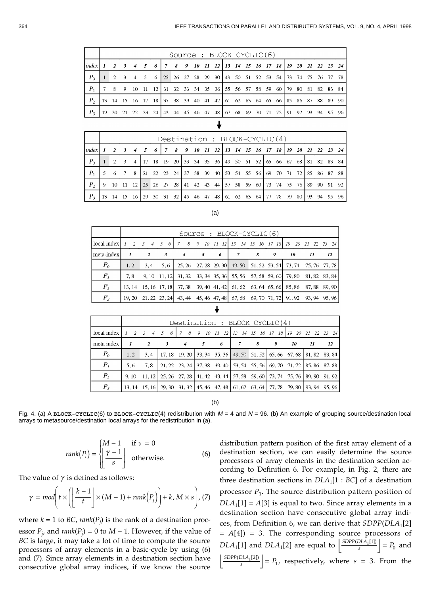|              |    |     |                                                    |  |  |  | Source: BLOCK-CYCLIC(6)                |  |  |  |       |    |  |                                                                      |  |
|--------------|----|-----|----------------------------------------------------|--|--|--|----------------------------------------|--|--|--|-------|----|--|----------------------------------------------------------------------|--|
| index 1      |    |     |                                                    |  |  |  |                                        |  |  |  |       |    |  | 2 3 4 5 6 7 8 9 10 11 12 13 14 15 16 17 18 19 20 21 22 23 24         |  |
| $P_{\Omega}$ |    | 2   | 3 4 5 6                                            |  |  |  |                                        |  |  |  |       |    |  | 25 26 27 28 29 30 49 50 51 52 53 54 73 74 75 76 77 78                |  |
| $P_1$        | 7  | - 8 | 9 10 11 12                                         |  |  |  | 31 32 33 34 35 36 55 56 57 58 59 60 79 |  |  |  |       |    |  | 80 81 82 83 84                                                       |  |
| $P_{2}$      | 13 |     |                                                    |  |  |  |                                        |  |  |  |       |    |  | 14 15 16 17 18 37 38 39 40 41 42 61 62 63 64 65 66 85 86 87 88 89 90 |  |
| $P_3$        | 19 |     | 20 21 22 23 24 43 44 45 46 47 48 67 68 69 70 71 72 |  |  |  |                                        |  |  |  | l 91. | 92 |  | 93 94 95 96                                                          |  |
|              |    |     |                                                    |  |  |  |                                        |  |  |  |       |    |  |                                                                      |  |

|                                                                                                                                      |   |                                                                     |  |  |  |  |  |  | Destination: BLOCK-CYCLIC(4)                                      |  |  |  |             |
|--------------------------------------------------------------------------------------------------------------------------------------|---|---------------------------------------------------------------------|--|--|--|--|--|--|-------------------------------------------------------------------|--|--|--|-------------|
| $\lfloor index \rfloor$ 1 2 3 4 5 6 $\lfloor 7$ 8 9 10 11 12 $\lfloor 13 \rfloor$ 14 15 16 17 18 $\lfloor 19 \rfloor$ 20 21 22 23 24 |   |                                                                     |  |  |  |  |  |  |                                                                   |  |  |  |             |
| $P_0$                                                                                                                                |   |                                                                     |  |  |  |  |  |  | 2 3 4 17 18 19 20 33 34 35 36 49 50 51 52 65 66 67 68 81 82 83 84 |  |  |  |             |
| $P_1$                                                                                                                                |   | 5 6 7 8 21 22 23 24 37 38 39 40 53 54 55 56 69 70 71 72 85 86 87 88 |  |  |  |  |  |  |                                                                   |  |  |  |             |
| P <sub>2</sub>                                                                                                                       | 9 | - 10                                                                |  |  |  |  |  |  | 11 12 25 26 27 28 41 42 43 44 57 58 59 60 73 74 75 76 89 90 91 92 |  |  |  |             |
| $P_3$                                                                                                                                |   | 13 14 15 16 29 30 31 32 45 46 47 48 61 62 63 64 77 78 79 80         |  |  |  |  |  |  |                                                                   |  |  |  | 93 94 95 96 |

| ٦   |  |
|-----|--|
| . . |  |

|                                                                                                 |              |                |     |                |             |   | Source: BLOCK-CYCLIC(6)                                                                           |     |                |    |     |    |
|-------------------------------------------------------------------------------------------------|--------------|----------------|-----|----------------|-------------|---|---------------------------------------------------------------------------------------------------|-----|----------------|----|-----|----|
| $\vert \text{local index} \vert$ 1 2 3 4 5 6 7 8 9 10 11 12 13 14 15 16 17 18 19 20 21 22 23 24 |              |                |     |                |             |   |                                                                                                   |     |                |    |     |    |
| meta-index                                                                                      | $\mathbf{I}$ | $\overline{2}$ | 3   | $\overline{4}$ | $5^{\circ}$ | 6 | 7                                                                                                 | - 8 | $\overline{9}$ | 10 | -11 | 12 |
| $P_o$                                                                                           | 1, 2         | 3, 4           | 5.6 |                |             |   | 25, 26 27, 28 29, 30 49, 50 51, 52 53, 54 73, 74 75, 76 77, 78                                    |     |                |    |     |    |
| $P_{I}$                                                                                         | 7.8          |                |     |                |             |   | 9, 10 11, 12 31, 32 33, 34 35, 36 55, 56 57, 58 59, 60 79, 80 81, 82 83, 84                       |     |                |    |     |    |
| P <sub>2</sub>                                                                                  |              |                |     |                |             |   | 13, 14 15, 16 17, 18 37, 38 39, 40 41, 42 61, 62 63, 64 65, 66 85, 86 87, 88 89, 90               |     |                |    |     |    |
| $P_{3}$                                                                                         |              |                |     |                |             |   | 19, 20, 21, 22, 23, 24   43, 44, 45, 46, 47, 48   67, 68, 69, 70, 71, 72   91, 92, 93, 94, 95, 96 |     |                |    |     |    |
|                                                                                                 |              |                |     |                |             |   |                                                                                                   |     |                |    |     |    |

| $\mathbf{I}$ | $\overline{2}$ | $\mathbf{3}$ | $\overline{4}$ | $\overline{5}$ | $\overline{\phantom{a}}$ | $\overline{7}$ | 8 | $^{\circ}$ | - 10 | - 11                          | <i>12</i>                                                                                                                                                                                                                                                                                                                                                                                                                                                     |
|--------------|----------------|--------------|----------------|----------------|--------------------------|----------------|---|------------|------|-------------------------------|---------------------------------------------------------------------------------------------------------------------------------------------------------------------------------------------------------------------------------------------------------------------------------------------------------------------------------------------------------------------------------------------------------------------------------------------------------------|
| 1, 2         | 3.4            |              |                |                |                          |                |   |            |      |                               |                                                                                                                                                                                                                                                                                                                                                                                                                                                               |
| 5.6          | 7.8            |              |                |                |                          |                |   |            |      |                               |                                                                                                                                                                                                                                                                                                                                                                                                                                                               |
|              |                |              |                |                |                          |                |   |            |      |                               |                                                                                                                                                                                                                                                                                                                                                                                                                                                               |
|              |                |              |                |                |                          |                |   |            |      |                               |                                                                                                                                                                                                                                                                                                                                                                                                                                                               |
|              |                |              |                |                |                          |                |   |            |      | Destination : BLOCK-CYCLIC(4) | $\text{local index}$   1 2 3 4 5 6   7 8 9 10 11 12   13 14 15 16 17 18   19 20 21 22 23 24<br>  17, 18 19, 20   33, 34 35, 36   49, 50 51, 52   65, 66 67, 68   81, 82 83, 84<br>  21, 22, 23, 24   37, 38, 39, 40   53, 54, 55, 56   69, 70, 71, 72   85, 86, 87, 88<br>9, 10 11, 12   25, 26 27, 28   41, 42 43, 44   57, 58 59, 60   73, 74 75, 76   89, 90 91, 92<br>13, 14 15, 16 29, 30 31, 32 45, 46 47, 48 61, 62 63, 64 77, 78 79, 80 93, 94 95, 96 |

Fig. 4. (a) A BLOCK-CYCLIC(6) to BLOCK-CYCLIC(4) redistribution with  $M = 4$  and  $N = 96$ . (b) An example of grouping source/destination local arrays to metasource/destination local arrays for the redistribution in (a).

$$
rank(P_i) = \begin{cases} M-1 & \text{if } \gamma = 0\\ \frac{\gamma - 1}{s} & \text{otherwise.} \end{cases}
$$
 (6)

The value of  $\gamma$  is defined as follows:

$$
\gamma = mod\left(t \times \left(\left\lfloor \frac{k-1}{t} \right\rfloor \times (M-1) + rank(P_j)\right) + k, M \times s\right), (7)
$$

where  $k = 1$  to *BC*, rank( $P_j$ ) is the rank of a destination processor  $P_j$ , and  $rank(P_j) = 0$  to  $M - 1$ . However, if the value of *BC* is large, it may take a lot of time to compute the source processors of array elements in a basic-cycle by using (6) and (7). Since array elements in a destination section have consecutive global array indices, if we know the source distribution pattern position of the first array element of a destination section, we can easily determine the source processors of array elements in the destination section according to Definition 6. For example, in Fig. 2, there are three destination sections in *DLA*1[1 : *BC*] of a destination processor  $P_1$ . The source distribution pattern position of  $DLA_1[1] = A[3]$  is equal to two. Since array elements in a destination section have consecutive global array indices, from Definition 6, we can derive that *SDPP*(*DLA*<sub>1</sub>[2] = *A*[4]) = 3. The corresponding source processors of  $DLA_1[1]$  and  $DLA_1[2]$  are equal to  $\left| \frac{SDPP(DLA_1[1])}{s} \right| = P_0$  and  $\frac{\text{SDPP}(DLA_1[2])}{s}$  =  $P_1$ , respectively, where  $s = 3$ . From the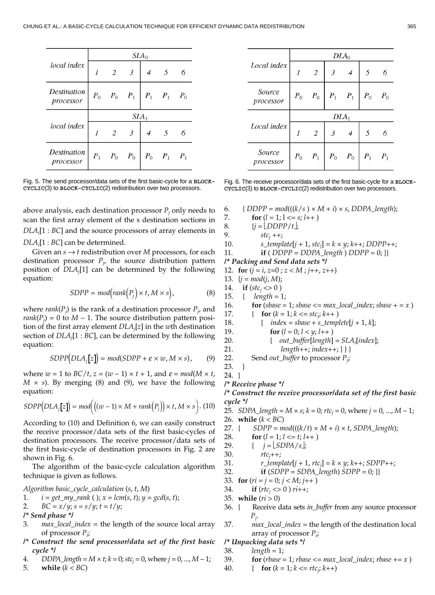|                                 |               |                |                   | $SLA_0$                       |             |         |
|---------------------------------|---------------|----------------|-------------------|-------------------------------|-------------|---------|
| local index                     | $\mathcal{I}$ | $\overline{2}$ | $\mathcal{S}$     | $\overline{4}$                | $5^{\circ}$ | -6      |
| <b>Destination</b><br>processor |               |                |                   | $P_0$ $P_0$ $P_1$ $P_1$ $P_1$ |             | $P_{0}$ |
|                                 |               |                | $SLA_1$           |                               |             |         |
| local index                     | $\mathcal{I}$ | $\overline{2}$ | $\mathcal{Z}$     | $\overline{4}$                | 5           | 6       |
| <b>Destination</b><br>processor |               |                | $P_1$ $P_0$ $P_0$ | $P_0$ – $P_1$                 |             |         |

Fig. 5. The send processor/data sets of the first basic-cycle for a BLOCK-CYCLIC(3) to BLOCK-CYCLIC(2) redistribution over two processors.

above analysis, each destination processor *Pj* only needs to scan the first array element of the s destination sections in *DLAi* [1 : *BC*] and the source processors of array elements in *DLAi* [1 : *BC*] can be determined.

Given an  $s \rightarrow t$  redistribution over *M* processors, for each destination processor *Pj* , the source distribution pattern position of *DLAj* [1] can be determined by the following equation:

$$
SDPP = mod\bigl( rank\bigl(P_j\bigr) \times t, M \times s\bigr), \tag{8}
$$

where  $rank(P_j)$  is the rank of a destination processor  $P_j$ , and  $rank(P_j) = 0$  to  $M - 1$ . The source distribution pattern position of the first array element *DLAj* [*z*] in the *w*th destination section of *DLAj* [1 : *BC*], can be determined by the following equation:

$$
SDPP(DLAj[z]) = mod(SDPP + \varepsilon \times w, M \times s),
$$
 (9)

where  $w = 1$  to  $BC/t$ ,  $z = (w - 1) \times t + 1$ , and  $\varepsilon = mod(M \times t)$ ,  $M \times s$ ). By merging (8) and (9), we have the following equation:

$$
SDPP(DLAj[z]) = mod((w-1) \times M + rank(Pj)) \times t, M \times s).
$$
 (10)

According to (10) and Definition 6, we can easily construct the receive processor/data sets of the first basic-cycles of destination processors. The receive processor/data sets of the first basic-cycle of destination processors in Fig. 2 are shown in Fig. 6.

The algorithm of the basic-cycle calculation algorithm technique is given as follows.

*Algorithm basic\_cycle\_calculation* (*s*, *t*, *M*)

- 1.  $i = get_{my\_rank}( )$ ;  $x = lcm(s, t)$ ;  $y = gcd(s, t)$ ;
- 2.  $BC = x/y; s = s/y; t = t/y;$
- */\* Send phase \*/*

5. **while** (*k* < *BC*)

- 3. *max\_local\_index* = the length of the source local array of processor *Pi* ;
- */\* Construct the send processor/data set of the first basic cycle \*/*

4. *DDPA\_length* = 
$$
M \times t
$$
;  $k = 0$ ;  $stc_j = 0$ , where  $j = 0, ..., M - 1$ ;

| Local index | $DLA_0$   |       |       |       |       |       |       |
|-------------|-----------|-------|-------|-------|-------|-------|-------|
| Source      | 1         | 2     | 3     | 4     | 5     | 6     |       |
| processor   | $P_0$     | $P_0$ | $P_1$ | $P_1$ | $P_0$ | $P_0$ |       |
| Local index | 1         | 2     | 3     | 4     | 5     | 6     |       |
| Source      | processor | $P_0$ | $P_1$ | $P_0$ | $P_1$ | $P_1$ | $P_1$ |

Fig. 6. The receive processor/data sets of the first basic-cycle for a BLOCK-CYCLIC(3) to BLOCK-CYCLIC(2) redistribution over two processors.

```
6. { DDPP = mod(((k/s) \times M + i) \times s, DDPA_length);
7. for (l = 1; l \le s; l++)8. \{j = \lfloor DDPP/t \rfloor;9. stc_j + f;<br>10. stempl10. s_template[j + 1, stcj
] = k × y; k++; DDPP++;
11. if ( DDPP = DDPA length ) DDPP = 0; }}
/* Packing and Send data sets */
12. for (j = i, z=0; z < M; j++), z++)13. \{j = mod(i, M)\}14. if (stc<sub>j</sub>\langle 0 \rangle)
15. { length = 1;
16. for (sbase = 1; sbase \le max local index; sbase + = x )
17. \{ \textbf{for } (k = 1; k < = stc_j; k++) \}18. {index = base + s\_template[i + 1, k]};
19. for (l = 0; l < y; l++)20. { out_buffer[length] = SLAi
[index];
21. length++; index++; } } }
22. Send out_buffer to processor Pj
;
23. }
```

$$
23. \n24. \n3
$$

*/\* Receive phase \*/*

*/\* Construct the receive processor/data set of the first basic cycle \*/*

- 25. *SDPA\_length* =  $M \times s$ ;  $k = 0$ ;  $rtc_i = 0$ , where  $j = 0, ..., M 1$ ;
- 26. **while** (*k* < *BC*)

27. { 
$$
SDPP = mod(((k/t) \times M + i) \times t, SDPA\_length);
$$

28. **for** 
$$
(l = 1; l \leq t; l++)
$$

- 29.  $\{j = \lfloor SDPA/s \rfloor;$
- 30. *rtcj* ++;

31. 
$$
r\_template[j + 1, rtc_j] = k \times y; k++, SDPP++;
$$

32. if 
$$
(SDPP = SDPA\_length) SDPP = 0; \}
$$

33. for 
$$
(ri = j = 0; j < M; j++)
$$

- 34. **if**  $(rtc_j \ll 0 \text{ } )ri++;$
- 35. **while** (*ri* > 0)
- 36. { Receive data sets *in\_buffer* from any source processor *Pj* .
- 37. *max\_local\_index* = the length of the destination local array of processor *Pi* ;

*/\* Unpacking data sets \*/*

38. *length* = 1;

- 39. **for** (*rbase* = 1; *rbase* <=  $max\_local\_index$ ; *rbase* +=  $x$ )
- 40.  $\{ \textbf{for } (k = 1; k <= rt c_j; k++) \}$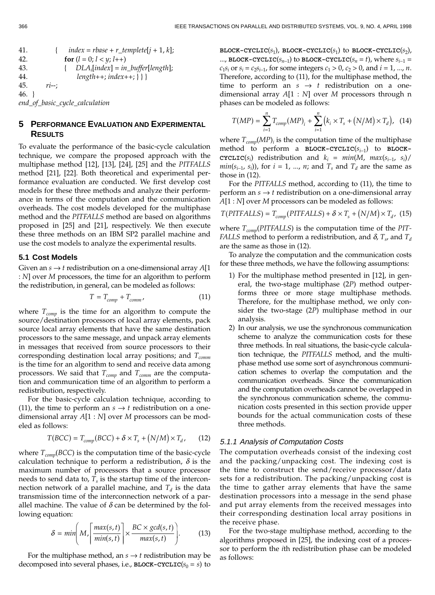| 41. |        | $index = \text{rbase} + \text{r\_template}[j + 1, k];$ |
|-----|--------|--------------------------------------------------------|
| 42. |        | for $(l = 0; l < y; l++)$                              |
| 43. |        | $DLA_i[index] = in_buffer[length];$                    |
| 44. |        | $length++; index++; \}$                                |
| 45. | $ri--$ |                                                        |
| 46. |        |                                                        |

*end\_of\_basic\_cycle\_calculation*

# **5 PERFORMANCE EVALUATION AND EXPERIMENTAL RESULTS**

To evaluate the performance of the basic-cycle calculation technique, we compare the proposed approach with the multiphase method [12], [13], [24], [25] and the *PITFALLS* method [21], [22]. Both theoretical and experimental performance evaluation are conducted. We first develop cost models for these three methods and analyze their performance in terms of the computation and the communication overheads. The cost models developed for the multiphase method and the *PITFALLS* method are based on algorithms proposed in [25] and [21], respectively. We then execute these three methods on an IBM SP2 parallel machine and use the cost models to analyze the experimental results.

## **5.1 Cost Models**

Given an  $s \rightarrow t$  redistribution on a one-dimensional array  $A[1]$ : *N*] over *M* processors, the time for an algorithm to perform the redistribution, in general, can be modeled as follows:

$$
T = T_{comp} + T_{comm}
$$
\n<sup>(11)</sup>

where  $T_{comp}$  is the time for an algorithm to compute the source/destination processors of local array elements, pack source local array elements that have the same destination processors to the same message, and unpack array elements in messages that received from source processors to their corresponding destination local array positions; and  $T_{comm}$ is the time for an algorithm to send and receive data among processors. We said that  $T_{comp}$  and  $T_{comm}$  are the computation and communication time of an algorithm to perform a redistribution, respectively.

For the basic-cycle calculation technique, according to (11), the time to perform an  $s \to t$  redistribution on a onedimensional array *A*[1 : *N*] over *M* processors can be modeled as follows:

$$
T(BCC) = T_{comp}(BCC) + \delta \times T_s + (N/M) \times T_d, \qquad (12)
$$

where  $T_{comp}(BCC)$  is the computation time of the basic-cycle calculation technique to perform a redistribution,  $\delta$  is the maximum number of processors that a source processor needs to send data to,  $T_s$  is the startup time of the interconnection network of a parallel machine, and  $T_d$  is the data transmission time of the interconnection network of a parallel machine. The value of  $\delta$  can be determined by the following equation:

$$
\delta = \min\left(M, \left\lceil \frac{\max(s, t)}{\min(s, t)} \right\rceil \times \frac{BC \times \gcd(s, t)}{\max(s, t)}\right). \tag{13}
$$

For the multiphase method, an  $s \rightarrow t$  redistribution may be decomposed into several phases, i.e., **BLOCK-CYCLIC** $(s_0 = s)$  to

BLOCK-CYCLIC( $s_1$ ), BLOCK-CYCLIC( $s_1$ ) to BLOCK-CYCLIC( $s_2$ ), ..., BLOCK-CYCLIC( $s_{n-1}$ ) to BLOCK-CYCLIC( $s_n = t$ ), where  $s_{i-1} =$  $c_1 s_i$  or  $s_i = c_2 s_{i-1}$ , for some integers  $c_1 > 0$ ,  $c_2 > 0$ , and  $i = 1, ..., n$ . Therefore, according to (11), for the multiphase method, the time to perform an  $s \rightarrow t$  redistribution on a onedimensional array *A*[1 : *N*] over *M* processors through n phases can be modeled as follows:

$$
T(MP) = \sum_{i=1}^{n} T_{comp}(MP)_i + \sum_{i=1}^{n} (k_i \times T_s + (N/M) \times T_d), \quad (14)
$$

where  $T_{\mathit{comp}}(\mathit{MP})_i$  is the computation time of the multiphase method to perform a BLOCK-CYCLIC(*si*-1) to BLOCK- $\text{cyclic}(s_i)$  redistribution and  $k_i = min(M, max(s_{i-1}, s_i))$  $min(s_{i-1}, s_i)$ , for  $i = 1, ..., n$ ; and  $T_s$  and  $T_d$  are the same as those in (12).

For the *PITFALLS* method, according to (11), the time to perform an  $s \rightarrow t$  redistribution on a one-dimensional array *A*[1 : *N*] over *M* processors can be modeled as follows:

$$
T(PITFALLS) = T_{comp}(PITFALLS) + \delta \times T_s + (N/M) \times T_d, (15)
$$

where  $T_{\text{comp}}$ (PITFALLS) is the computation time of the PIT-*FALLS* method to perform a redistribution, and  $\delta$ ,  $T_s$ , and  $T_d$ are the same as those in (12).

To analyze the computation and the communication costs for these three methods, we have the following assumptions:

- 1) For the multiphase method presented in [12], in general, the two-stage multiphase (2*P*) method outperforms three or more stage multiphase methods. Therefore, for the multiphase method, we only consider the two-stage (2*P*) multiphase method in our analysis.
- 2) In our analysis, we use the synchronous communication scheme to analyze the communication costs for these three methods. In real situations, the basic-cycle calculation technique, the *PITFALLS* method, and the multiphase method use some sort of asynchronous communication schemes to overlap the computation and the communication overheads. Since the communication and the computation overheads cannot be overlapped in the synchronous communication scheme, the communication costs presented in this section provide upper bounds for the actual communication costs of these three methods.

## 5.1.1 Analysis of Computation Costs

The computation overheads consist of the indexing cost and the packing/unpacking cost. The indexing cost is the time to construct the send/receive processor/data sets for a redistribution. The packing/unpacking cost is the time to gather array elements that have the same destination processors into a message in the send phase and put array elements from the received messages into their corresponding destination local array positions in the receive phase.

For the two-stage multiphase method, according to the algorithms proposed in [25], the indexing cost of a processor to perform the *i*th redistribution phase can be modeled as follows: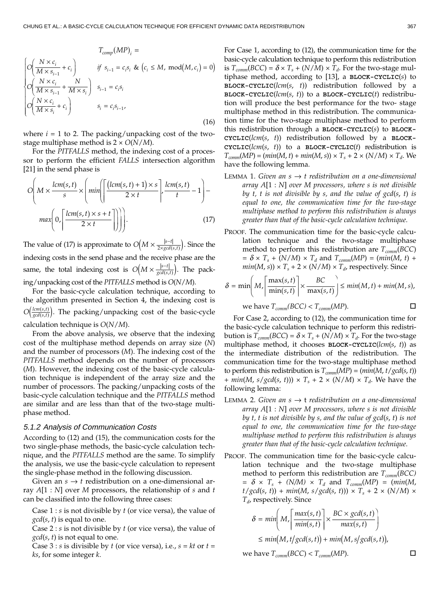$$
T_{comp}(MP)_i =
$$
\n
$$
\begin{cases}\nO\left(\frac{N \times c_i}{M \times s_{i-1}} + c_i\right) & \text{if } s_{i-1} = c_i s_i \& (c_i \le M, \mod(M, c_i) = 0) \\
O\left(\frac{N \times c_i}{M \times s_{i-1}} + \frac{N}{M \times s_i}\right) & s_{i-1} = c_i s_i \\
O\left(\frac{N \times c_i}{M \times s_i} + c_i\right) & s_i = c_i s_{i-1},\n\end{cases}
$$
\n(16)

where  $i = 1$  to 2. The packing/unpacking cost of the twostage multiphase method is 2 × *O*(*N*/*M*).

For the *PITFALLS* method, the indexing cost of a processor to perform the efficient *FALLS* intersection algorithm [21] in the send phase is

$$
O\left(M \times \frac{lcm(s,t)}{s} \times \left(\min\left(\frac{\left(lcm(s,t) + 1\right) \times s}{2 \times t}\right), \frac{lcm(s,t)}{t} - 1\right) - \max\left(0, \left\lceil\frac{lcm(s,t) \times s + t}{2 \times t}\right\rceil\right)\right)\right).
$$
\n(17)

The value of (17) is approximate to  $O\left(M \times \frac{|s-t|}{2 \times gcd(s,t)}\right)$ . Since the indexing costs in the send phase and the receive phase are the same, the total indexing cost is  $O(N \times \frac{|s-t|}{gcd(s,t)})$ . The packing/unpacking cost of the *PITFALLS* method is *O*(*N*/*M*).

For the basic-cycle calculation technique, according to the algorithm presented in Section 4, the indexing cost is  $O\left(\frac{\text{lcm}(s,t)}{\text{gcd}(s,t)}\right)$ . The packing/unpacking cost of the basic-cycle calculation technique is *O*(*N*/*M*).

From the above analysis, we observe that the indexing cost of the multiphase method depends on array size (*N*) and the number of processors (*M*). The indexing cost of the *PITFALLS* method depends on the number of processors (*M*). However, the indexing cost of the basic-cycle calculation technique is independent of the array size and the number of processors. The packing/unpacking costs of the basic-cycle calculation technique and the *PITFALLS* method are similar and are less than that of the two-stage multiphase method.

#### 5.1.2 Analysis of Communication Costs

According to (12) and (15), the communication costs for the two single-phase methods, the basic-cycle calculation technique, and the *PITFALLS* method are the same. To simplify the analysis, we use the basic-cycle calculation to represent the single-phase method in the following discussion.

Given an  $s \rightarrow t$  redistribution on a one-dimensional array *A*[1 : *N*] over *M* processors, the relationship of *s* and *t* can be classified into the following three cases:

Case 1 : *s* is not divisible by *t* (or vice versa), the value of *gcd*(*s*, *t*) is equal to one.

Case 2 : *s* is not divisible by *t* (or vice versa), the value of *gcd*(*s*, *t*) is not equal to one.

Case 3 : *s* is divisible by *t* (or vice versa), i.e.,  $s = kt$  or  $t =$ *ks*, for some integer *k*.

For Case 1, according to (12), the communication time for the basic-cycle calculation technique to perform this redistribution is  $T_{comm}(BCC) = \delta \times T_s + (N/M) \times T_d$ . For the two-stage multiphase method, according to [13], a BLOCK-CYCLIC(*s*) to BLOCK-CYCLIC(*lcm*(*s*, *t*)) redistribution followed by a BLOCK-CYCLIC(*lcm*(*s*, *t*)) to a BLOCK-CYCLIC(*t*) redistribution will produce the best performance for the two- stage multiphase method in this redistribution. The communication time for the two-stage multiphase method to perform this redistribution through a BLOCK-CYCLIC(*s*) to BLOCK-CYCLIC(*lcm*(*s*, *t*)) redistribution followed by a BLOCK-CYCLIC(*lcm*(*s*, *t*)) to a BLOCK-CYCLIC(*t*) redistribution is  $T_{comm}(MP) = (min(M, t) + min(M, s)) \times T_s + 2 \times (N/M) \times T_d$ . We have the following lemma.

- LEMMA 1. *Given an s*  $\rightarrow$  *t redistribution on a one-dimensional array A*[1 : *N*] *over M processors, where s is not divisible by t, t is not divisible by s, and the value of gcd*(*s*, *t*) *is equal to one, the communication time for the two-stage multiphase method to perform this redistribution is always greater than that of the basic-cycle calculation technique.*
- PROOF. The communication time for the basic-cycle calculation technique and the two-stage multiphase method to perform this redistribution are  $T_{comm}(BCC)$  $= \delta \times T_s + (N/M) \times T_d$  and  $T_{comm}(MP) = (min(M, t) +$  $min(M, s)$ ) ×  $T_s$  + 2 × ( $N/M$ ) ×  $T_d$ , respectively. Since

$$
\delta = \min\left(M, \left\lceil \frac{\max(s, t)}{\min(s, t)} \right\rceil \times \frac{BC}{\max(s, t)} \right) \le \min(M, t) + \min(M, s),
$$
  
we have  $T_{comm}(BCC) < T_{comm}(MP)$ .

For Case 2, according to (12), the communication time for the basic-cycle calculation technique to perform this redistribution is  $T_{comm}(BCC) = \delta \times T_s + (N/M) \times T_d$ . For the two-stage multiphase method, it chooses BLOCK-CYCLIC(*lcm*(*s*, *t*)) as the intermediate distribution of the redistribution. The communication time for the two-stage multiphase method to perform this redistribution is  $T_{comm}(MP) = (min(M, t/gcd(s, t)))$ +  $min(M, s/gcd(s, t))$  ×  $T_s$  + 2 × ( $N/M$ ) ×  $T_d$ . We have the following lemma:

- LEMMA 2. *Given an s*  $\rightarrow$  t *redistribution on a one-dimensional array A*[1 : *N*] *over M processors, where s is not divisible by t, t is not divisible by s, and the value of gcd*(*s*, *t*) *is not equal to one, the communication time for the two-stage multiphase method to perform this redistribution is always greater than that of the basic-cycle calculation technique.*
- PROOF. The communication time for the basic-cycle calculation technique and the two-stage multiphase method to perform this redistribution are  $T_{comm}(BCC)$  $= \delta \times T_s + (N/M) \times T_d$  and  $T_{comm}(MP) = (min(M,$  $t/gcd(s, t)$  +  $min(M, s/gcd(s, t))$  ×  $T_s$  + 2 × (*N*/*M*) × *Td*, respectively. Since

$$
\delta = \min\left(M, \left\lceil \frac{\max(s, t)}{\min(s, t)} \right\rceil \times \frac{BC \times \gcd(s, t)}{\max(s, t)} \right)
$$
  

$$
\leq \min(M, t/\gcd(s, t)) + \min(M, s/\gcd(s, t)),
$$

we have  $T_{comm}(BCC) < T_{comm}(MP)$ .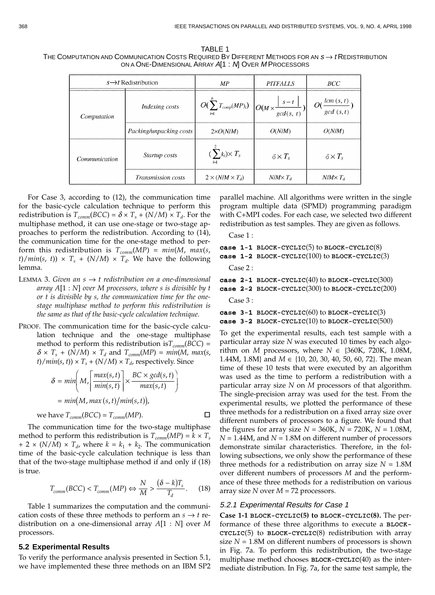TABLE 1 THE COMPUTATION AND COMMUNICATION COSTS REQUIRED BY DIFFERENT METHODS FOR AN  $s \to t$  REDISTRIBUTION ON A ONE-DIMENSIONAL ARRAY A[1 : N] OVER M PROCESSORS

|               | $s \rightarrow t$ Redistribution | МP                          | <b>PITFALLS</b>                                 | BCC.                |
|---------------|----------------------------------|-----------------------------|-------------------------------------------------|---------------------|
| Computation   | Indexing costs                   | $O(\sum T_{comp}(MP)_i)$    | $O(M \times \frac{1}{gcd(s, t)})^{\frac{1}{s}}$ | gcd(s,t)            |
|               | Packing/unpacking costs          | $2\times O(N/M)$            | O(N/M)                                          | O(N/M)              |
| Communication | Startup costs                    |                             | $\delta \times T_s$                             | $\delta \times T_s$ |
|               | <i>Transmission costs</i>        | $2 \times (N/M \times T_d)$ | $N/M \times T_d$                                | $N/M \times T_d$    |

For Case 3, according to (12), the communication time for the basic-cycle calculation technique to perform this redistribution is  $T_{comm}(BCC) = \delta \times T_s + (N/M) \times T_d$ . For the multiphase method, it can use one-stage or two-stage approaches to perform the redistribution. According to (14), the communication time for the one-stage method to perform this redistribution is  $T_{comm}(MP) = min(M, max(s,$  $t$ /*min*(*s*, *t*)) ×  $T_s$  + (*N*/*M*) ×  $T_d$ . We have the following lemma.

- LEMMA 3. *Given an s*  $\rightarrow$  *t redistribution on a one-dimensional array A*[1 : *N*] *over M processors, where s is divisible by t or t is divisible by s, the communication time for the onestage multiphase method to perform this redistribution is the same as that of the basic-cycle calculation technique.*
- PROOF. The communication time for the basic-cycle calculation technique and the one-stage multiphase method to perform this redistribution is $T_{comm}(BCC)$  =  $\delta \times T_s + (N/M) \times T_d$  and  $T_{comm}(MP) = min(M, max(s,$  $t$ /*min*(*s*, *t*)) ×  $T_s$  + ( $N/M$ ) ×  $T_d$ , respectively. Since

$$
\delta = \min\left(M, \left\lceil \frac{\max(s, t)}{\min(s, t)} \right\rceil \times \frac{BC \times \gcd(s, t)}{\max(s, t)} \right)
$$

$$
= \min(M, \max(s, t) / \min(s, t)),
$$
  
we have  $T_{comm}(BCC) = T_{comm}(MP)$ .

The communication time for the two-stage multiphase method to perform this redistribution is  $T_{comm}(MP) = k \times T_s$ + 2 × ( $N/M$ ) ×  $T_d$ , where  $k = k_1 + k_2$ . The communication time of the basic-cycle calculation technique is less than that of the two-stage multiphase method if and only if (18) is true.

$$
T_{comm}(BCC) < T_{comm}(MP) \Leftrightarrow \frac{N}{M} > \frac{(\delta - k)T_s}{T_d}.\tag{18}
$$

Table 1 summarizes the computation and the communication costs of these three methods to perform an  $s \rightarrow t$  redistribution on a one-dimensional array *A*[1 : *N*] over *M* processors.

## **5.2 Experimental Results**

To verify the performance analysis presented in Section 5.1, we have implemented these three methods on an IBM SP2

parallel machine. All algorithms were written in the single program multiple data (SPMD) programming paradigm with C+MPI codes. For each case, we selected two different redistribution as test samples. They are given as follows.

```
Case 1 :
```

```
case 1-1 BLOCK-CYCLIC(5) to BLOCK-CYCLIC(8)
case 1-2 BLOCK-CYCLIC(100) to BLOCK-CYCLIC(3)
  Case 2 :
```
case 2-1 BLOCK-CYCLIC(40) to BLOCK-CYCLIC(300) case  $2-2$  BLOCK-CYCLIC(300) to BLOCK-CYCLIC(200) Case 3 :

```
case 3-1 BLOCK-CYCLIC(60) to BLOCK-CYCLIC(3)
case 3-2 BLOCK-CYCLIC(10) to BLOCK-CYCLIC(500)
```
To get the experimental results, each test sample with a particular array size *N* was executed 10 times by each algorithm on *M* processors, where  $N \in \{360K, 720K, 1.08M,$ 1.44M, 1.8M} and  $M \in \{10, 20, 30, 40, 50, 60, 72\}$ . The mean time of these 10 tests that were executed by an algorithm was used as the time to perform a redistribution with a particular array size *N* on *M* processors of that algorithm. The single-precision array was used for the test. From the experimental results, we plotted the performance of these three methods for a redistribution on a fixed array size over different numbers of processors to a figure. We found that the figures for array size  $N = 360K$ ,  $N = 720K$ ,  $N = 1.08M$ , *N* = 1.44M, and *N* = 1.8M on different number of processors demonstrate similar characteristics. Therefore, in the following subsections, we only show the performance of these three methods for a redistribution on array size  $N = 1.8M$ over different numbers of processors *M* and the performance of these three methods for a redistribution on various array size *N* over *M* = 72 processors.

#### 5.2.1 Experimental Results for Case 1

**Case 1-1** BLOCK-CYCLIC**(5) to** BLOCK-CYCLIC**(8).** The performance of these three algorithms to execute a BLOCK-CYCLIC(5) to BLOCK-CYCLIC(8) redistribution with array size  $N = 1.8M$  on different numbers of processors is shown in Fig. 7a. To perform this redistribution, the two-stage multiphase method chooses  $BLOCK-CYCLIC(40)$  as the intermediate distribution. In Fig. 7a, for the same test sample, the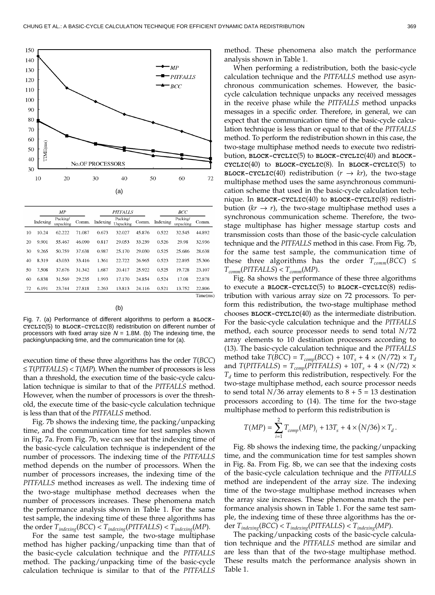

|    |          | MP                    |        |          | <b>PITFALLS</b>       |        | BCC      |                       |         |
|----|----------|-----------------------|--------|----------|-----------------------|--------|----------|-----------------------|---------|
|    | Indexing | Packing/<br>unpacking | Comm.  | Indexing | Packing/<br>Unpacking | Comm.  | Indexing | Packing/<br>unpacking | Comm.   |
| 10 | 10.24    | 62.222                | 71.087 | 0.673    | 32.027                | 45.876 | 0.522    | 32.545                | 44.892  |
| 20 | 9.901    | 55.467                | 46.090 | 0.817    | 29.053                | 33.239 | 0.526    | 29.98                 | 32.936  |
| 30 | 9.265    | 50.759                | 37.638 | 0.987    | 25.170                | 29.030 | 0.525    | 25.686                | 28.638  |
| 40 | 8.319    | 43.033                | 33.416 | 1.361    | 22.722                | 26.965 | 0.523    | 22.895                | 25.306  |
| 50 | 7.508    | 37.676                | 31.342 | 1.687    | 20.417                | 25.922 | 0.525    | 19.728                | 23.107  |
| 60 | 6.838    | 31.569                | 29.235 | 1.993    | 17.170                | 24.854 | 0.524    | 17.08                 | 22.878  |
| 72 | 6.191    | 23.744                | 27.818 | 2.263    | 13.813                | 24.116 | 0.521    | 13.752                | 22.806  |
|    |          |                       |        |          |                       |        |          |                       | Time(ms |

Fig. 7. (a) Performance of different algorithms to perform a BLOCK-CYCLIC(5) to BLOCK-CYCLIC(8) redistribution on different number of processors with fixed array size  $N = 1.8$ M. (b) The indexing time, the packing/unpacking time, and the communication time for (a).

execution time of these three algorithms has the order *T*(*BCC*)  $\leq$  *T*(*PITFALLS*) < *T*(*MP*). When the number of processors is less than a threshold, the execution time of the basic-cycle calculation technique is similar to that of the *PITFALLS* method. However, when the number of processors is over the threshold, the execute time of the basic-cycle calculation technique is less than that of the *PITFALLS* method.

Fig. 7b shows the indexing time, the packing/unpacking time, and the communication time for test samples shown in Fig. 7a. From Fig. 7b, we can see that the indexing time of the basic-cycle calculation technique is independent of the number of processors. The indexing time of the *PITFALLS* method depends on the number of processors. When the number of processors increases, the indexing time of the *PITFALLS* method increases as well. The indexing time of the two-stage multiphase method decreases when the number of processors increases. These phenomena match the performance analysis shown in Table 1. For the same test sample, the indexing time of these three algorithms has the order  $T_{indexing}(BCC) < T_{indexing}(PITFALLS) < T_{indexing}(MP)$ .

For the same test sample, the two-stage multiphase method has higher packing/unpacking time than that of the basic-cycle calculation technique and the *PITFALLS* method. The packing/unpacking time of the basic-cycle calculation technique is similar to that of the *PITFALLS*

method. These phenomena also match the performance analysis shown in Table 1.

When performing a redistribution, both the basic-cycle calculation technique and the *PITFALLS* method use asynchronous communication schemes. However, the basiccycle calculation technique unpacks any received messages in the receive phase while the *PITFALLS* method unpacks messages in a specific order. Therefore, in general, we can expect that the communication time of the basic-cycle calculation technique is less than or equal to that of the *PITFALLS* method. To perform the redistribution shown in this case, the two-stage multiphase method needs to execute two redistribution,  $BLOCK-CYCLIC(5)$  to  $BLOCK-CYCLIC(40)$  and  $BLOCK-$ CYCLIC $(40)$  to BLOCK-CYCLIC $(8)$ . In BLOCK-CYCLIC $(5)$  to BLOCK-CYCLIC(40) redistribution  $(r \rightarrow kr)$ , the two-stage multiphase method uses the same asynchronous communication scheme that used in the basic-cycle calculation technique. In  $BLOCK-CYCLIC(40)$  to  $BLOCK-CYCLIC(8)$  redistribution ( $kr \rightarrow r$ ), the two-stage multiphase method uses a synchronous communication scheme. Therefore, the twostage multiphase has higher message startup costs and transmission costs than those of the basic-cycle calculation technique and the *PITFALLS* method in this case. From Fig. 7b, for the same test sample, the communication time of these three algorithms has the order  $T_{comm}(BCC) \leq$  $T_{comm}(PITFALLS) < T_{comm}(MP)$ .

Fig. 8a shows the performance of these three algorithms to execute a BLOCK-CYCLIC(5) to BLOCK-CYCLIC(8) redistribution with various array size on 72 processors. To perform this redistribution, the two-stage multiphase method chooses BLOCK-CYCLIC(40) as the intermediate distribution. For the basic-cycle calculation technique and the *PITFALLS* method, each source processor needs to send total *N*/72 array elements to 10 destination processors according to (13). The basic-cycle calculation technique and the *PITFALLS* method take  $T(BCC) = T_{comp}(BCC) + 10T_s + 4 \times (N/72) \times T_d$ and *T*(*PITFALLS*) =  $T_{comp}(PITFALLS) + 10T_s + 4 \times (N/72) \times$  $T_d$  time to perform this redistribution, respectively. For the two-stage multiphase method, each source processor needs to send total  $N/36$  array elements to  $8 + 5 = 13$  destination processors according to (14). The time for the two-stage multiphase method to perform this redistribution is

$$
T(MP) = \sum_{i=1}^{2} T_{comp}(MP)_i + 13T_s + 4 \times (N/36) \times T_d.
$$

Fig. 8b shows the indexing time, the packing/unpacking time, and the communication time for test samples shown in Fig. 8a. From Fig. 8b, we can see that the indexing costs of the basic-cycle calculation technique and the *PITFALLS* method are independent of the array size. The indexing time of the two-stage multiphase method increases when the array size increases. These phenomena match the performance analysis shown in Table 1. For the same test sample, the indexing time of these three algorithms has the order *Tindexing*(*BCC*) < *Tindexing*(*PITFALLS*) < *Tindexing*(*MP*).

The packing/unpacking costs of the basic-cycle calculation technique and the *PITFALLS* method are similar and are less than that of the two-stage multiphase method. These results match the performance analysis shown in Table 1.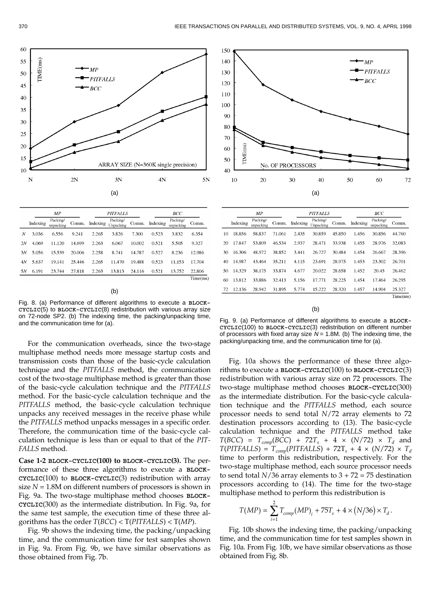

|    | MP       |                       |        |          | <b>PITFALLS</b>       |        |          | BCC                   |          |  |
|----|----------|-----------------------|--------|----------|-----------------------|--------|----------|-----------------------|----------|--|
|    | Indexing | Packing/<br>unpacking | Comm.  | Indexing | Packing/<br>Unpacking | Comm.  | Indexing | Packing/<br>unpacking | Comm.    |  |
| N  | 3.036    | 6.556                 | 9.241  | 2.265    | 3.826                 | 7.300  | 0.523    | 3.832                 | 6.354    |  |
| 2N | 4.069    | 11.120                | 14.699 | 2.263    | 6.067                 | 10.002 | 0.521    | 5.505                 | 9.327    |  |
| ЗN | 5.056    | 15.539                | 20.006 | 2.258    | 8.741                 | 14.787 | 0.527    | 8.236                 | 12.986   |  |
| 4N | 5.637    | 19.141                | 25.446 | 2.265    | 11.470                | 19.488 | 0.523    | 11.153                | 17.704   |  |
| 5N | 6.191    | 23.744                | 27.818 | 2.263    | 13.813                | 24.116 | 0.521    | 13.752                | 22.806   |  |
|    |          |                       |        |          |                       |        |          |                       | Time(ms) |  |

Fig. 8. (a) Performance of different algorithms to execute a BLOCK-CYCLIC(5) to BLOCK-CYCLIC(8) redistribution with various array size on 72-node SP2. (b) The indexing time, the packing/unpacking time, and the communication time for (a).

For the communication overheads, since the two-stage multiphase method needs more message startup costs and transmission costs than those of the basic-cycle calculation technique and the *PITFALLS* method, the communication cost of the two-stage multiphase method is greater than those of the basic-cycle calculation technique and the *PITFALLS* method. For the basic-cycle calculation technique and the *PITFALLS* method, the basic-cycle calculation technique unpacks any received messages in the receive phase while the *PITFALLS* method unpacks messages in a specific order. Therefore, the communication time of the basic-cycle calculation technique is less than or equal to that of the *PIT-FALLS* method.

**Case 1-2** BLOCK-CYCLIC**(100) to** BLOCK-CYCLIC**(3).** The performance of these three algorithms to execute a BLOCK-CYCLIC(100) to BLOCK-CYCLIC(3) redistribution with array size *N* = 1.8M on different numbers of processors is shown in Fig. 9a. The two-stage multiphase method chooses BLOCK-CYCLIC(300) as the intermediate distribution. In Fig. 9a, for the same test sample, the execution time of these three algorithms has the order *T*(*BCC*) < T(*PITFALLS*) < T(*MP*).

Fig. 9b shows the indexing time, the packing/unpacking time, and the communication time for test samples shown in Fig. 9a. From Fig. 9b, we have similar observations as those obtained from Fig. 7b.



|    |          | MP                    |        |          | <b>PITFALLS</b>       |        | BCC      |                       |          |
|----|----------|-----------------------|--------|----------|-----------------------|--------|----------|-----------------------|----------|
|    | Indexing | Packing/<br>unpacking | Comm.  | Indexing | Packing/<br>Unpacking | Comm.  | Indexing | Packing/<br>unpacking | Comm.    |
| 10 | 18.856   | 58.837                | 71.061 | 2.435    | 30.859                | 45.850 | 1.456    | 30.856                | 44.760   |
| 20 | 17.847   | 53.809                | 46.534 | 2.937    | 28.471                | 33.938 | 1.455    | 28.976                | 32.083   |
| 30 | 16.306   | 48.972                | 38.852 | 3.441    | 26.727                | 30.484 | 1.454    | 26.667                | 28.396   |
| 40 | 14.987   | 43.464                | 35.211 | 4.115    | 23.691                | 28.975 | 1.453    | 23.302                | 26.701   |
| 50 | 14.329   | 38.175                | 33.874 | 4.677    | 20.022                | 28.658 | 1.452    | 20.45                 | 26.462   |
| 60 | 13.812   | 33.886                | 32.413 | 5.156    | 17.771                | 28.225 | 1.454    | 17.464                | 26.295   |
| 72 | 12.136   | 28.942                | 31.895 | 5.774    | 15.222                | 28.320 | 1.457    | 14.904                | 25.327   |
|    |          |                       |        |          |                       |        |          |                       | Time(ms) |

(b)

Fig. 9. (a) Performance of different algorithms to execute a BLOCK-CYCLIC(100) to BLOCK-CYCLIC(3) redistribution on different number of processors with fixed array size  $N = 1.8$ M. (b) The indexing time, the packing/unpacking time, and the communication time for (a).

Fig. 10a shows the performance of these three algorithms to execute a  $BLOCK-CYCLIC(100)$  to  $BLOCK-CYCLIC(3)$ redistribution with various array size on 72 processors. The two-stage multiphase method chooses BLOCK-CYCLIC(300) as the intermediate distribution. For the basic-cycle calculation technique and the *PITFALLS* method, each source processor needs to send total *N*/72 array elements to 72 destination processors according to (13). The basic-cycle calculation technique and the *PITFALLS* method take  $T(BCC) = T_{comp}(BCC) + 72T_s + 4 \times (N/72) \times T_d$  and  $T(PITFALLS) = T_{comp}(PITFALLS) + 72T_s + 4 \times (N/72) \times T_d$ time to perform this redistribution, respectively. For the two-stage multiphase method, each source processor needs to send total  $N/36$  array elements to  $3 + 72 = 75$  destination processors according to (14). The time for the two-stage multiphase method to perform this redistribution is

$$
T(MP) = \sum_{i=1}^{2} T_{comp}(MP)_{i} + 75T_{s} + 4 \times (N/36) \times T_{d}.
$$

Fig. 10b shows the indexing time, the packing/unpacking time, and the communication time for test samples shown in Fig. 10a. From Fig. 10b, we have similar observations as those obtained from Fig. 8b.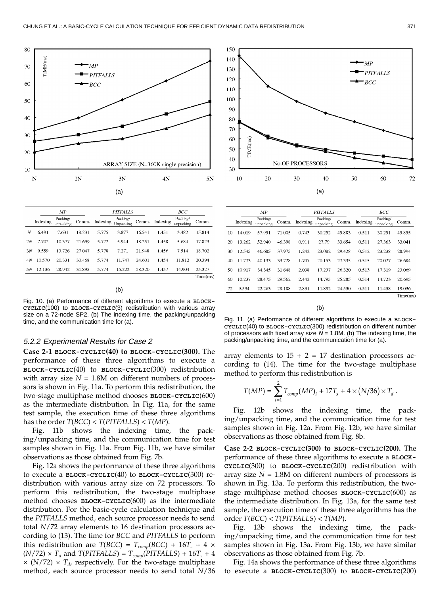

|    |          | МP                    |        |          | <b>PITFALLS</b>       |        | BCC      |                       |         |
|----|----------|-----------------------|--------|----------|-----------------------|--------|----------|-----------------------|---------|
|    | Indexing | Packing/<br>unpacking | Comm.  | Indexing | Packing/<br>Unpacking | Comm.  | Indexing | Packing/<br>unpacking | Comm.   |
| N  | 6.491    | 7.631                 | 18.231 | 5.775    | 3.877                 | 16.541 | 1.451    | 3.482                 | 15.814  |
| 2N | 7.702    | 10.377                | 21.699 | 5.772    | 5.944                 | 18.251 | 1.458    | 5.684                 | 17.823  |
| 3N | 9.559    | 13.726                | 27.047 | 5.778    | 7.271                 | 21.948 | 1.456    | 7.514                 | 18.702  |
| 4N | 10.570   | 20.331                | 30.468 | 5.774    | 11.747                | 24,601 | 1.454    | 11.812                | 20.394  |
| 5N | 12.136   | 28.942                | 31.895 | 5.774    | 15.222                | 28.320 | 1.457    | 14.904                | 25.327  |
|    |          |                       |        |          |                       |        |          |                       | Time(ms |

Fig. 10. (a) Performance of different algorithms to execute a BLOCK-CYCLIC(100) to BLOCK-CYCLIC(3) redistribution with various array size on a 72-node SP2. (b) The indexing time, the packing/unpacking time, and the communication time for (a).

#### 5.2.2 Experimental Results for Case 2

**Case 2-1** BLOCK-CYCLIC**(40) to** BLOCK-CYCLIC**(300).** The performance of these three algorithms to execute a BLOCK-CYCLIC(40) to BLOCK-CYCLIC(300) redistribution with array size  $N = 1.8M$  on different numbers of processors is shown in Fig. 11a. To perform this redistribution, the two-stage multiphase method chooses BLOCK-CYCLIC(600) as the intermediate distribution. In Fig. 11a, for the same test sample, the execution time of these three algorithms has the order *T*(*BCC*) < *T*(*PITFALLS*) < *T*(*MP*).

Fig. 11b shows the indexing time, the packing/unpacking time, and the communication time for test samples shown in Fig. 11a. From Fig. 11b, we have similar observations as those obtained from Fig. 7b.

Fig. 12a shows the performance of these three algorithms to execute a BLOCK-CYCLIC(40) to BLOCK-CYCLIC(300) redistribution with various array size on 72 processors. To perform this redistribution, the two-stage multiphase method chooses BLOCK-CYCLIC(600) as the intermediate distribution. For the basic-cycle calculation technique and the *PITFALLS* method, each source processor needs to send total *N*/72 array elements to 16 destination processors according to (13). The time for *BCC* and *PITFALLS* to perform this redistribution are *T*(*BCC*) =  $T_{comp}(BCC)$  + 16 $T_s$  + 4  $\times$  $(N/72) \times T_d$  and  $T(PITFALLS) = T_{comp}(PITFALLS) + 16T_s + 4$  $\times$  (*N*/72)  $\times$  *T*<sub>d</sub>, respectively. For the two-stage multiphase method, each source processor needs to send total *N*/36



|    |          | MP                    |        |          | <b>PITFALLS</b>       |        | $_{BCC}$ |                       |          |
|----|----------|-----------------------|--------|----------|-----------------------|--------|----------|-----------------------|----------|
|    | Indexing | Packing/<br>unpacking | Comm.  | Indexing | Packing/<br>unpacking | Comm.  | Indexing | Packing/<br>unpacking | Comm.    |
| 10 | 14.019   | 57.951                | 71.005 | 0.743    | 30.252                | 45.883 | 0.511    | 30.251                | 45.855   |
| 20 | 13.262   | 52.940                | 46.398 | 0.911    | 27.79                 | 33.654 | 0.511    | 27.363                | 33.041   |
| 30 | 12.545   | 46.685                | 37.975 | 1.242    | 23.082                | 29.428 | 0.512    | 23.238                | 28.994   |
| 40 | 11.773   | 40.133                | 33.728 | 1.707    | 20.153                | 27.335 | 0.515    | 20.027                | 26.684   |
| 50 | 10.917   | 34.345                | 31.648 | 2.038    | 17.237                | 26.320 | 0.513    | 17.319                | 23.069   |
| 60 | 10.237   | 28.475                | 29.562 | 2.442    | 14.795                | 25.285 | 0.514    | 14.723                | 20.695   |
| 72 | 9.594    | 22.263                | 28.188 | 2.831    | 11.892                | 24.530 | 0.511    | 11.438                | 19.036   |
|    |          |                       |        |          |                       |        |          |                       | Time(ms) |

 $(b)$ 

Fig. 11. (a) Performance of different algorithms to execute a BLOCK-CYCLIC(40) to BLOCK-CYCLIC(300) redistribution on different number of processors with fixed array size  $N = 1.8$ M. (b) The indexing time, the packing/unpacking time, and the communication time for (a).

array elements to  $15 + 2 = 17$  destination processors according to (14). The time for the two-stage multiphase method to perform this redistribution is

$$
T(MP) = \sum_{i=1}^{2} T_{comp}(MP)_i + 17T_s + 4 \times (N/36) \times T_d.
$$

Fig. 12b shows the indexing time, the packing/unpacking time, and the communication time for test samples shown in Fig. 12a. From Fig. 12b, we have similar observations as those obtained from Fig. 8b.

**Case 2-2** BLOCK-CYCLIC**(300) to** BLOCK-CYCLIC**(200).** The performance of these three algorithms to execute a BLOCK-CYCLIC(300) to BLOCK-CYCLIC(200) redistribution with array size *N* = 1.8M on different numbers of processors is shown in Fig. 13a. To perform this redistribution, the twostage multiphase method chooses BLOCK-CYCLIC(600) as the intermediate distribution. In Fig. 13a, for the same test sample, the execution time of these three algorithms has the order *T*(*BCC*) < *T*(*PITFALLS*) < *T*(*MP*).

Fig. 13b shows the indexing time, the packing/unpacking time, and the communication time for test samples shown in Fig. 13a. From Fig. 13b, we have similar observations as those obtained from Fig. 7b.

Fig. 14a shows the performance of these three algorithms to execute a BLOCK-CYCLIC(300) to BLOCK-CYCLIC(200)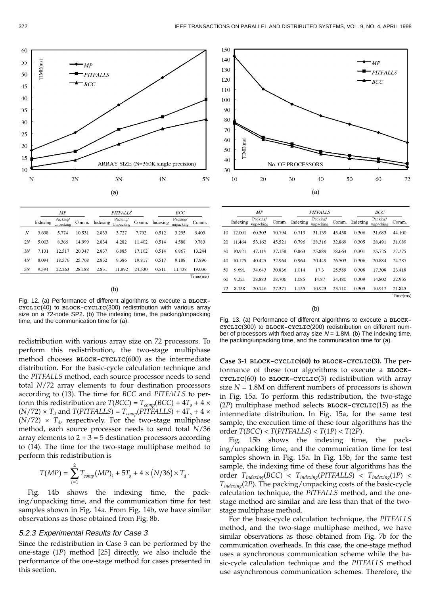

|    | MP       |                       |        |          | <b>PITFALLS</b>       |        | BCC      |                       |          |
|----|----------|-----------------------|--------|----------|-----------------------|--------|----------|-----------------------|----------|
|    | Indexing | Packing/<br>unpacking | Comm.  | Indexing | Packing/<br>Unpacking | Comm.  | Indexing | Packing/<br>unpacking | Comm.    |
| N  | 3.698    | 5.774                 | 10.531 | 2.833    | 3.727                 | 7.792  | 0.512    | 3.295                 | 6.403    |
| 2N | 5.003    | 8.366                 | 14.999 | 2.834    | 4.282                 | 11.402 | 0.514    | 4.588                 | 9.783    |
| 3N | 7.131    | 12.517                | 20.347 | 2.837    | 6.885                 | 17.102 | 0.514    | 6.867                 | 13.244   |
| 4N | 8.094    | 18.576                | 25.768 | 2.832    | 9.386                 | 19.817 | 0.517    | 9.188                 | 17.896   |
| 5N | 9.594    | 22.263                | 28.188 | 2.831    | 11.892                | 24.530 | 0.511    | 11.438                | 19.036   |
|    |          |                       |        |          |                       |        |          |                       | Time(ms) |

|  | I  |  |
|--|----|--|
|  | ۰, |  |

Fig. 12. (a) Performance of different algorithms to execute a BLOCK-CYCLIC(40) to BLOCK-CYCLIC(300) redistribution with various array size on a 72-node SP2. (b) The indexing time, the packing/unpacking time, and the communication time for (a).

redistribution with various array size on 72 processors. To perform this redistribution, the two-stage multiphase method chooses BLOCK-CYCLIC(600) as the intermediate distribution. For the basic-cycle calculation technique and the *PITFALLS* method, each source processor needs to send total *N*/72 array elements to four destination processors according to (13). The time for *BCC* and *PITFALLS* to perform this redistribution are  $T(BCC) = T_{comp}(BCC) + 4T_s + 4 \times$  $(N/72) \times T_d$  and  $T(PITFALLS) = T_{comp}(PITFALLS) + 4T_s + 4 \times T_s$  $(N/72) \times T_d$ , respectively. For the two-stage multiphase method, each source processor needs to send total *N*/36 array elements to  $2 + 3 = 5$  destination processors according to (14). The time for the two-stage multiphase method to perform this redistribution is

$$
T(MP) = \sum_{i=1}^{2} T_{comp}(MP)_{i} + 5T_{s} + 4 \times (N/36) \times T_{d}.
$$

Fig. 14b shows the indexing time, the packing/unpacking time, and the communication time for test samples shown in Fig. 14a. From Fig. 14b, we have similar observations as those obtained from Fig. 8b.

## 5.2.3 Experimental Results for Case 3

Since the redistribution in Case 3 can be performed by the one-stage (1*P*) method [25] directly, we also include the performance of the one-stage method for cases presented in this section.



|    |          | MP                    |        |          | <b>PITFALLS</b>       |        | $_{BCC}$ |                       |          |
|----|----------|-----------------------|--------|----------|-----------------------|--------|----------|-----------------------|----------|
|    | Indexing | Packing/<br>unpacking | Comm.  | Indexing | Packing/<br>unpacking | Comm.  | Indexing | Packing/<br>unpacking | Comm.    |
| 10 | 12.001   | 60.303                | 70.794 | 0.719    | 31.139                | 45.458 | 0.306    | 31.683                | 44.100   |
| 20 | 11.464   | 53.162                | 45.521 | 0.796    | 28.316                | 32.869 | 0.305    | 28.491                | 31.089   |
| 30 | 10.921   | 47.119                | 37.158 | 0.863    | 25.889                | 28.664 | 0.301    | 25.725                | 27.275   |
| 40 | 10.175   | 40.425                | 32.964 | 0.964    | 20.449                | 26.503 | 0.306    | 20.884                | 24.287   |
| 50 | 9.691    | 34.643                | 30.836 | 1.014    | 17.3                  | 25.589 | 0.308    | 17.308                | 23.418   |
| 60 | 9.221    | 28.883                | 28.706 | 1.085    | 14.87                 | 24.480 | 0.309    | 14.802                | 22.935   |
| 72 | 8.758    | 20.746                | 27.371 | 1.155    | 10.923                | 23.710 | 0.303    | 10.917                | 21.845   |
|    |          |                       |        |          |                       |        |          |                       | Time(ms) |

(b)

Fig. 13. (a) Performance of different algorithms to execute a BLOCK-CYCLIC(300) to BLOCK-CYCLIC(200) redistribution on different number of processors with fixed array size  $N = 1.8$ M. (b) The indexing time, the packing/unpacking time, and the communication time for (a).

**Case 3-1** BLOCK-CYCLIC**(60) to** BLOCK-CYCLIC**(3).** The performance of these four algorithms to execute a BLOCK-CYCLIC(60) to BLOCK-CYCLIC(3) redistribution with array size  $N = 1.8M$  on different numbers of processors is shown in Fig. 15a. To perform this redistribution, the two-stage (2*P*) multiphase method selects BLOCK-CYCLIC(15) as the intermediate distribution. In Fig. 15a, for the same test sample, the execution time of these four algorithms has the order *T*(*BCC*) < *T*(*PITFALLS*) < *T*(1*P*) < *T*(2*P*).

Fig. 15b shows the indexing time, the packing/unpacking time, and the communication time for test samples shown in Fig. 15a. In Fig. 15b, for the same test sample, the indexing time of these four algorithms has the order *Tindexing*(*BCC*) < *Tindexing*(*PITFALLS*) < *Tindexing*(1*P*) < *Tindexing*(2*P*). The packing/unpacking costs of the basic-cycle calculation technique, the *PITFALLS* method, and the onestage method are similar and are less than that of the twostage multiphase method.

For the basic-cycle calculation technique, the *PITFALLS* method, and the two-stage multiphase method, we have similar observations as those obtained from Fig. 7b for the communication overheads. In this case, the one-stage method uses a synchronous communication scheme while the basic-cycle calculation technique and the *PITFALLS* method use asynchronous communication schemes. Therefore, the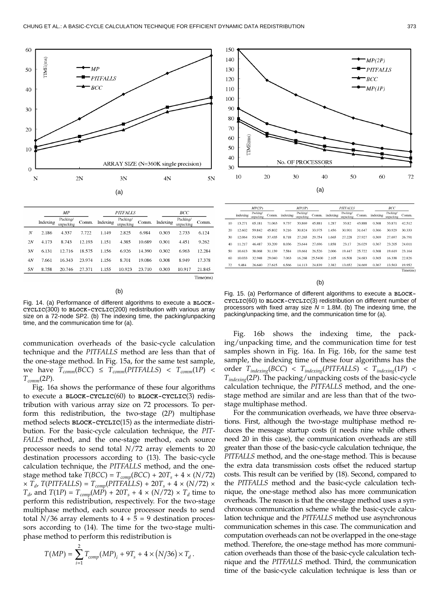

|    | MP       |                       |        |          | PITFALLS              |        |          | BCC                   |          |  |
|----|----------|-----------------------|--------|----------|-----------------------|--------|----------|-----------------------|----------|--|
|    | Indexing | Packing/<br>unpacking | Comm.  | Indexing | Packing/<br>unpacking | Comm.  | Indexing | Packing/<br>unpacking | Comm.    |  |
| N  | 2.186    | 4.337                 | 7.722  | 1.149    | 2.825                 | 6.984  | 0.303    | 2.733                 | 6.124    |  |
| 2N | 4.173    | 8.743                 | 12.193 | 1.151    | 4.385                 | 10.689 | 0.301    | 4.451                 | 9.262    |  |
| 3N | 6.131    | 12.716                | 18.575 | 1.156    | 6.926                 | 14.390 | 0.302    | 6.963                 | 12.284   |  |
| 4N | 7.661    | 16.343                | 23.974 | 1.156    | 8.701                 | 19.086 | 0.308    | 8.949                 | 17.378   |  |
| 5N | 8.758    | 20.746                | 27.371 | 1.155    | 10.923                | 23.710 | 0.303    | 10.917                | 21.845   |  |
|    |          |                       |        |          |                       |        |          |                       | Time(me) |  |

|  | I<br>۰, |  |
|--|---------|--|

Fig. 14. (a) Performance of different algorithms to execute a BLOCK-CYCLIC(300) to BLOCK-CYCLIC(200) redistribution with various array size on a 72-node SP2. (b) The indexing time, the packing/unpacking time, and the communication time for (a).

communication overheads of the basic-cycle calculation technique and the *PITFALLS* method are less than that of the one-stage method. In Fig. 15a, for the same test sample, we have  $T_{comm}(BCC) \leq T_{comm}(PITFALLS) < T_{comm}(1P)$  $T_{comm}(2P)$ .

Fig. 16a shows the performance of these four algorithms to execute a BLOCK-CYCLIC(60) to BLOCK-CYCLIC(3) redistribution with various array size on 72 processors. To perform this redistribution, the two-stage (2*P*) multiphase method selects BLOCK-CYCLIC(15) as the intermediate distribution. For the basic-cycle calculation technique, the *PIT-FALLS* method, and the one-stage method, each source processor needs to send total *N*/72 array elements to 20 destination processors according to (13). The basic-cycle calculation technique, the *PITFALLS* method, and the onestage method take  $T(BCC) = T_{comp}(BCC) + 20T_s + 4 \times (N/72)$  $\times T_d$ , *T*(PITFALLS) =  $T_{comp}(PITFALLS) + 20T_s + 4 \times (N/72) \times$ *T<sub>d</sub>*, and *T*(1*P*) = *T*<sub>comp</sub>(*MP*) + 20*T<sub>s</sub>* + 4 × (*N*/72) × *T<sub>d</sub>* time to perform this redistribution, respectively. For the two-stage multiphase method, each source processor needs to send total  $N/36$  array elements to  $4 + 5 = 9$  destination processors according to (14). The time for the two-stage multiphase method to perform this redistribution is

$$
T(MP) = \sum_{i=1}^{2} T_{comp}(MP)_i + 9T_s + 4 \times (N/36) \times T_d.
$$



|    | MP(2P)   |                       |        | MP(1P)   |                       |         | <b>PITFALLS</b> |                       |        | BCC      |                       |          |
|----|----------|-----------------------|--------|----------|-----------------------|---------|-----------------|-----------------------|--------|----------|-----------------------|----------|
|    | indexing | Packing/<br>unpacking | Comm.  | indexing | Packing/<br>unpacking | Comm.   | indexing        | Packing/<br>unpacking | Comm.  | indexing | Packing/<br>unpacking | Comm.    |
| 10 | 13.271   | 65.181                | 71.063 | 9.737    | 33.869                | 45.881  | 1.287           | 33.82                 | 43.888 | 0.368    | 33.871                | 42.512   |
| 20 | 12.602   | 59.842                | 45.802 | 9.216    | 30.824                | 33.975  | 1.456           | 30.901                | 31.647 | 0.366    | 30.929                | 30.333   |
| 30 | 12.064   | 53.948                | 37.435 | 8.718    | 27.265                | 29.754  | 1.665           | 27.228                | 27.927 | 0.369    | 27.697                | 26.791   |
| 40 | 11.217   | 46.487                | 33.209 | 8.036    | 23.644                | 27.696  | 1.858           | 23.17                 | 26.029 | 0.367    | 23.205                | 24.011   |
| 50 | 10.613   | 38.068                | 31.139 | 7.584    | 19.661                | 26.526  | 2.006           | 19.447                | 25.722 | 0.368    | 19.619                | 23.164   |
| 60 | 10.033   | 32.948                | 29.040 | 7.063    | 16.268                | 25.5400 | 2.105           | 16.508                | 24.683 | 0.365    | 16.338                | 22.826   |
| 72 | 9.484    | 26.640                | 27.615 | 6.566    | 14.113                | 24.839  | 2.382           | 13.652                | 24.669 | 0.367    | 13.563                | 19.952   |
|    |          |                       |        |          |                       |         |                 |                       |        |          |                       | Time(ms) |

(b)

Fig. 15. (a) Performance of different algorithms to execute a BLOCK-CYCLIC(60) to BLOCK-CYCLIC(3) redistribution on different number of processors with fixed array size  $N = 1.8$ M. (b) The indexing time, the packing/unpacking time, and the communication time for (a).

Fig. 16b shows the indexing time, the packing/unpacking time, and the communication time for test samples shown in Fig. 16a. In Fig. 16b, for the same test sample, the indexing time of these four algorithms has the order *Tindexing*(*BCC*) < *Tindexing*(*PITFALLS*) < *Tindexing*(1*P*) < *Tindexing*(2*P*). The packing/unpacking costs of the basic-cycle calculation technique, the *PITFALLS* method, and the onestage method are similar and are less than that of the twostage multiphase method.

For the communication overheads, we have three observations. First, although the two-stage multiphase method reduces the message startup costs (it needs nine while others need 20 in this case), the communication overheads are still greater than those of the basic-cycle calculation technique, the *PITFALLS* method, and the one-stage method. This is because the extra data transmission costs offset the reduced startup costs. This result can be verified by (18). Second, compared to the *PITFALLS* method and the basic-cycle calculation technique, the one-stage method also has more communication overheads. The reason is that the one-stage method uses a synchronous communication scheme while the basic-cycle calculation technique and the *PITFALLS* method use asynchronous communication schemes in this case. The communication and computation overheads can not be overlapped in the one-stage method. Therefore, the one-stage method has more communication overheads than those of the basic-cycle calculation technique and the *PITFALLS* method. Third, the communication time of the basic-cycle calculation technique is less than or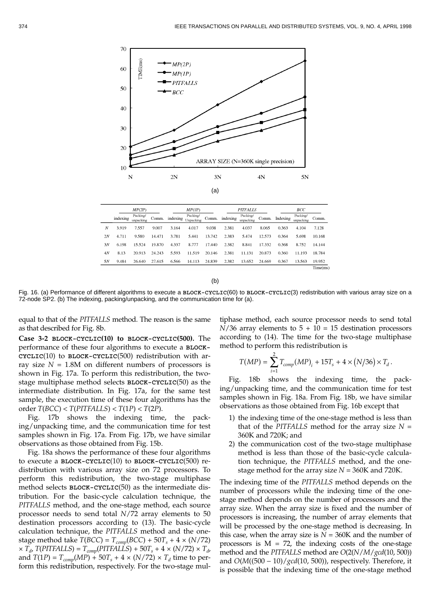

Fig. 16. (a) Performance of different algorithms to execute a BLOCK-CYCLIC(60) to BLOCK-CYCLIC(3) redistribution with various array size on a 72-node SP2. (b) The indexing, packing/unpacking, and the communication time for (a).

equal to that of the *PITFALLS* method. The reason is the same as that described for Fig. 8b.

**Case 3-2** BLOCK-CYCLIC**(10) to** BLOCK-CYCLIC**(500).** The performance of these four algorithms to execute a BLOCK-CYCLIC(10) to BLOCK-CYCLIC(500) redistribution with array size  $N = 1.8M$  on different numbers of processors is shown in Fig. 17a. To perform this redistribution, the twostage multiphase method selects BLOCK-CYCLIC(50) as the intermediate distribution. In Fig. 17a, for the same test sample, the execution time of these four algorithms has the order *T*(*BCC*) < *T*(*PITFALLS*) < *T*(1*P*) < *T*(2*P*).

Fig. 17b shows the indexing time, the packing/unpacking time, and the communication time for test samples shown in Fig. 17a. From Fig. 17b, we have similar observations as those obtained from Fig. 15b.

Fig. 18a shows the performance of these four algorithms to execute a  $BLOCK-CYCLIC(10)$  to  $BLOCK-CYCLIC(500)$  redistribution with various array size on 72 processors. To perform this redistribution, the two-stage multiphase method selects BLOCK-CYCLIC(50) as the intermediate distribution. For the basic-cycle calculation technique, the *PITFALLS* method, and the one-stage method, each source processor needs to send total *N*/72 array elements to 50 destination processors according to (13). The basic-cycle calculation technique, the *PITFALLS* method and the onestage method take  $T(BCC) = T_{comp}(BCC) + 50T_s + 4 \times (N/72)$  $\times T_d$ , *T*(*PITFALLS*) = *T*<sub>comp</sub>(*PITFALLS*) + 50*T*<sub>s</sub> + 4  $\times$  (*N*/72)  $\times T_d$ , and  $T(1P) = T_{comm}(MP) + 50T_s + 4 \times (N/72) \times T_d$  time to perform this redistribution, respectively. For the two-stage multiphase method, each source processor needs to send total  $N/36$  array elements to  $5 + 10 = 15$  destination processors according to (14). The time for the two-stage multiphase method to perform this redistribution is

Time(ms)

$$
T(MP) = \sum_{i=1}^{2} T_{comp}(MP)_{i} + 15T_{s} + 4 \times (N/36) \times T_{d}.
$$

Fig. 18b shows the indexing time, the packing/unpacking time, and the communication time for test samples shown in Fig. 18a. From Fig. 18b, we have similar observations as those obtained from Fig. 16b except that

- 1) the indexing time of the one-stage method is less than that of the *PITFALLS* method for the array size  $N =$ 360K and 720K; and
- 2) the communication cost of the two-stage multiphase method is less than those of the basic-cycle calculation technique, the *PITFALLS* method, and the onestage method for the array size *N* = 360K and 720K.

The indexing time of the *PITFALLS* method depends on the number of processors while the indexing time of the onestage method depends on the number of processors and the array size. When the array size is fixed and the number of processors is increasing, the number of array elements that will be processed by the one-stage method is decreasing. In this case, when the array size is  $N = 360K$  and the number of processors is  $M = 72$ , the indexing costs of the one-stage method and the *PITFALLS* method are *O*(2(*N*/*M*/*gcd*(10, 500)) and *O*(*M*((500 - 10)/*gcd*(10, 500)), respectively. Therefore, it is possible that the indexing time of the one-stage method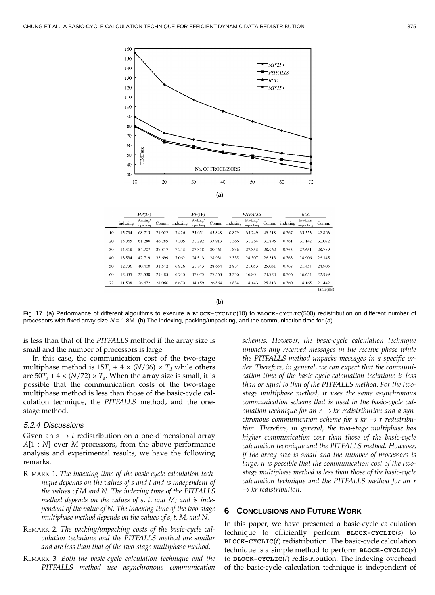

|    | $MP$ (2P) |                       |        | $MP$ (1P) |                       |        | <b>PITFALLS</b> |                       |        | BCC      |                       |          |
|----|-----------|-----------------------|--------|-----------|-----------------------|--------|-----------------|-----------------------|--------|----------|-----------------------|----------|
|    | indexing  | Packing/<br>unpacking | Comm.  | indexing  | Packing/<br>unpacking | Comm.  | indexing        | Packing/<br>unpacking | Comm.  | indexing | Packing/<br>unpacking | Comm.    |
| 10 | 15.794    | 68.715                | 71.022 | 7.426     | 35.651                | 45.848 | 0.879           | 35.749                | 43.218 | 0.767    | 35.553                | 42.863   |
| 20 | 15.065    | 61.288                | 46.285 | 7.305     | 31.292                | 33.913 | 1.366           | 31.264                | 31.895 | 0.761    | 31.142                | 31.072   |
| 30 | 14.318    | 54.707                | 37.817 | 7.243     | 27.818                | 30.461 | 1.836           | 27.853                | 28.962 | 0.763    | 27.651                | 28.789   |
| 40 | 13.534    | 47.719                | 33.699 | 7.062     | 24.513                | 28.931 | 2.335           | 24.307                | 26.313 | 0.763    | 24,906                | 26.145   |
| 50 | 12.736    | 40.408                | 31.542 | 6.926     | 21.343                | 28.654 | 2.834           | 21.053                | 25.051 | 0.768    | 21.454                | 24.905   |
| 60 | 12.035    | 33.538                | 29.485 | 6.743     | 17.075                | 27.563 | 3.336           | 16.804                | 24.720 | 0.766    | 16.654                | 22.999   |
| 72 | 11.538    | 26.672                | 28.060 | 6.670     | 14.159                | 26.864 | 3.834           | 14.143                | 25.813 | 0.760    | 14.165                | 21.442   |
|    |           |                       |        |           |                       |        |                 |                       |        |          |                       | Time(ms) |

Fig. 17. (a) Performance of different algorithms to execute a BLOCK-CYCLIC(10) to BLOCK-CYCLIC(500) redistribution on different number of processors with fixed array size  $N = 1.8M$ . (b) The indexing, packing/unpacking, and the communication time for (a).

is less than that of the *PITFALLS* method if the array size is small and the number of processors is large.

In this case, the communication cost of the two-stage multiphase method is  $15T_s + 4 \times (N/36) \times T_d$  while others are  $50T_s + 4 \times (N/72) \times T_d$ . When the array size is small, it is possible that the communication costs of the two-stage multiphase method is less than those of the basic-cycle calculation technique, the *PITFALLS* method, and the onestage method.

## 5.2.4 Discussions

Given an  $s \rightarrow t$  redistribution on a one-dimensional array *A*[1 : *N*] over *M* processors, from the above performance analysis and experimental results, we have the following remarks.

- REMARK 1. *The indexing time of the basic-cycle calculation technique depends on the values of s and t and is independent of the values of M and N. The indexing time of the PITFALLS method depends on the values of s, t, and M; and is independent of the value of N. The indexing time of the two-stage multiphase method depends on the values of s, t, M, and N.*
- REMARK 2. *The packing/unpacking costs of the basic-cycle calculation technique and the PITFALLS method are similar and are less than that of the two-stage multiphase method.*
- REMARK 3. *Both the basic-cycle calculation technique and the PITFALLS method use asynchronous communication*

*schemes. However, the basic-cycle calculation technique unpacks any received messages in the receive phase while the PITFALLS method unpacks messages in a specific order. Therefore, in general, we can expect that the communication time of the basic-cycle calculation technique is less than or equal to that of the PITFALLS method. For the twostage multiphase method, it uses the same asynchronous communication scheme that is used in the basic-cycle calculation technique for an*  $r \rightarrow kr$  *redistribution and a synchronous communication scheme for a*  $kr \rightarrow r$  *redistribution. Therefore, in general, the two-stage multiphase has higher communication cost than those of the basic-cycle calculation technique and the PITFALLS method. However, if the array size is small and the number of processors is large, it is possible that the communication cost of the twostage multiphase method is less than those of the basic-cycle calculation technique and the PITFALLS method for an r*  $\rightarrow$  *kr redistribution.* 

## **6 CONCLUSIONS AND FUTURE WORK**

In this paper, we have presented a basic-cycle calculation technique to efficiently perform BLOCK-CYCLIC(*s*) to BLOCK-CYCLIC(*t*) redistribution. The basic-cycle calculation technique is a simple method to perform BLOCK-CYCLIC(*s*) to BLOCK-CYCLIC(*t*) redistribution. The indexing overhead of the basic-cycle calculation technique is independent of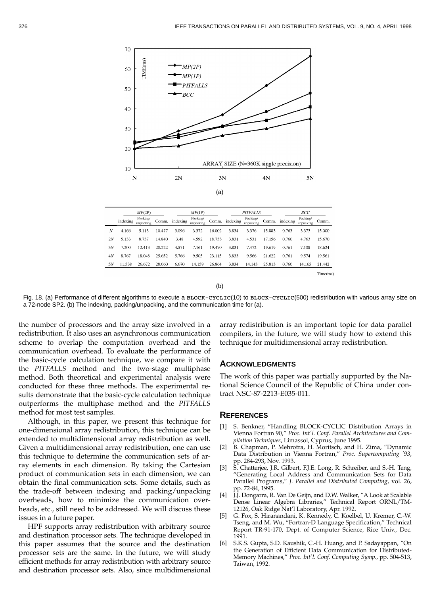

|    | MP(2P)   |                       |        | MP(1P)   |                       |        | <b>PITFALLS</b> |                       |        | <b>BCC</b> |                       |          |
|----|----------|-----------------------|--------|----------|-----------------------|--------|-----------------|-----------------------|--------|------------|-----------------------|----------|
|    | indexing | Packing/<br>unpacking | Comm.  | indexing | Packing/<br>unpacking | Comm.  | indexing        | Packing/<br>unpacking | Comm.  | indexing   | Packing/<br>unpacking | Comm.    |
| N  | 4.166    | 5.113                 | 10.477 | 3.096    | 3.372                 | 16.002 | 3.834           | 3.376                 | 15.883 | 0.763      | 3.373                 | 15.000   |
| 2N | 5.133    | 8.737                 | 14.840 | 3.48     | 4.592                 | 18.733 | 3.831           | 4.531                 | 17.156 | 0.760      | 4.763                 | 15.670   |
| 3N | 7.200    | 12.413                | 20.222 | 4.571    | 7.161                 | 19.470 | 3.831           | 7.472                 | 19.619 | 0.761      | 7.108                 | 18.624   |
| 4N | 8.767    | 18.048                | 25.652 | 5.766    | 9.505                 | 23.115 | 3.833           | 9.566                 | 21.622 | 0.761      | 9.574                 | 19.561   |
| 5N | 11.538   | 26.672                | 28.060 | 6.670    | 14.159                | 26.864 | 3.834           | 14.143                | 25.813 | 0.760      | 14.165                | 21.442   |
|    |          |                       |        |          |                       |        |                 |                       |        |            |                       | Time(ms) |

Fig. 18. (a) Performance of different algorithms to execute a BLOCK-CYCLIC(10) to BLOCK-CYCLIC(500) redistribution with various array size on a 72-node SP2. (b) The indexing, packing/unpacking, and the communication time for (a).

the number of processors and the array size involved in a redistribution. It also uses an asynchronous communication scheme to overlap the computation overhead and the communication overhead. To evaluate the performance of the basic-cycle calculation technique, we compare it with the *PITFALLS* method and the two-stage multiphase method. Both theoretical and experimental analysis were conducted for these three methods. The experimental results demonstrate that the basic-cycle calculation technique outperforms the multiphase method and the *PITFALLS* method for most test samples.

Although, in this paper, we present this technique for one-dimensional array redistribution, this technique can be extended to multidimensional array redistribution as well. Given a multidimensional array redistribution, one can use this technique to determine the communication sets of array elements in each dimension. By taking the Cartesian product of communication sets in each dimension, we can obtain the final communication sets. Some details, such as the trade-off between indexing and packing/unpacking overheads, how to minimize the communication overheads, etc., still need to be addressed. We will discuss these issues in a future paper.

HPF supports array redistribution with arbitrary source and destination processor sets. The technique developed in this paper assumes that the source and the destination processor sets are the same. In the future, we will study efficient methods for array redistribution with arbitrary source and destination processor sets. Also, since multidimensional

array redistribution is an important topic for data parallel compilers, in the future, we will study how to extend this technique for multidimensional array redistribution.

## **ACKNOWLEDGMENTS**

The work of this paper was partially supported by the National Science Council of the Republic of China under contract NSC-87-2213-E035-011.

## **REFERENCES**

- [1] S. Benkner, "Handling BLOCK-CYCLIC Distribution Arrays in Vienna Fortran 90," *Proc. Int'l. Conf. Parallel Architectures and Compilation Techniques*, Limassol, Cyprus, June 1995.
- [2] B. Chapman, P. Mehrotra, H. Moritsch, and H. Zima, "Dynamic Data Distribution in Vienna Fortran," *Proc. Supercomputing '93*, pp. 284-293, Nov. 1993.
- [3] S. Chatterjee, J.R. Gilbert, F.J.E. Long, R. Schreiber, and S.-H. Teng, "Generating Local Address and Communication Sets for Data Parallel Programs," *J. Parallel and Distributed Computing*, vol. 26, pp. 72-84, 1995.
- [4] J.J. Dongarra, R. Van De Geijn, and D.W. Walker, "A Look at Scalable Dense Linear Algebra Libraries," Technical Report ORNL/TM-12126, Oak Ridge Nat'l Laboratory, Apr. 1992.
- [5] G. Fox, S. Hiranandani, K. Kennedy, C. Koelbel, U. Kremer, C.-W. Tseng, and M. Wu, "Fortran-D Language Specification," Technical Report TR-91-170, Dept. of Computer Science, Rice Univ., Dec. 1991.
- [6] S.K.S. Gupta, S.D. Kaushik, C.-H. Huang, and P. Sadayappan, "On the Generation of Efficient Data Communication for Distributed-Memory Machines," *Proc. Int'l. Conf. Computing Symp*., pp. 504-513, Taiwan, 1992.